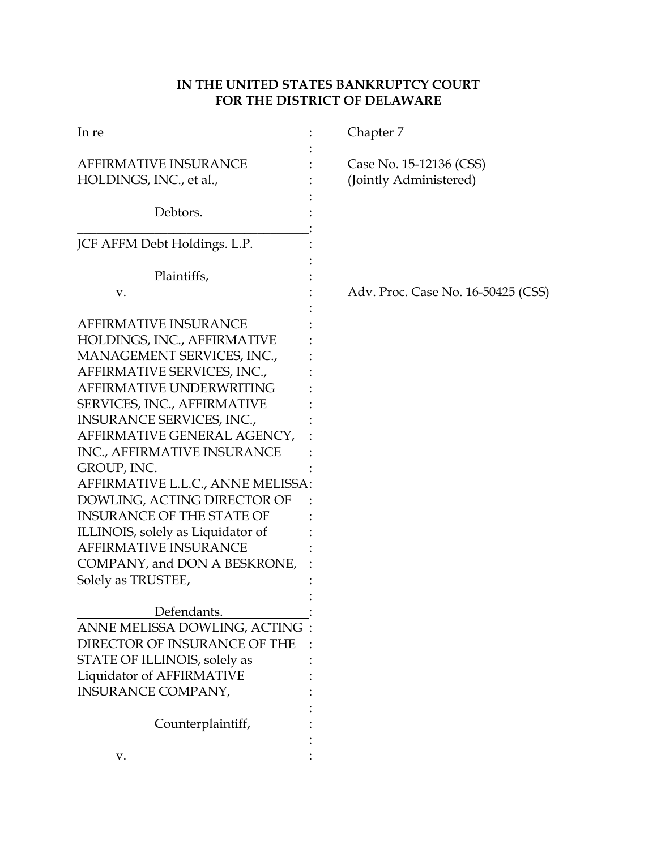# **IN THE UNITED STATES BANKRUPTCY COURT FOR THE DISTRICT OF DELAWARE**

| In re                                                                                                                                                                                                                                                                                                                                                                                                                                                                                                                            | Chapter 7                                         |
|----------------------------------------------------------------------------------------------------------------------------------------------------------------------------------------------------------------------------------------------------------------------------------------------------------------------------------------------------------------------------------------------------------------------------------------------------------------------------------------------------------------------------------|---------------------------------------------------|
| <b>AFFIRMATIVE INSURANCE</b><br>HOLDINGS, INC., et al.,                                                                                                                                                                                                                                                                                                                                                                                                                                                                          | Case No. 15-12136 (CSS)<br>(Jointly Administered) |
| Debtors.                                                                                                                                                                                                                                                                                                                                                                                                                                                                                                                         |                                                   |
| JCF AFFM Debt Holdings. L.P.                                                                                                                                                                                                                                                                                                                                                                                                                                                                                                     |                                                   |
| Plaintiffs,                                                                                                                                                                                                                                                                                                                                                                                                                                                                                                                      |                                                   |
| v.                                                                                                                                                                                                                                                                                                                                                                                                                                                                                                                               | Adv. Proc. Case No. 16-50425 (CSS)                |
| <b>AFFIRMATIVE INSURANCE</b><br>HOLDINGS, INC., AFFIRMATIVE<br>MANAGEMENT SERVICES, INC.,<br>AFFIRMATIVE SERVICES, INC.,<br>AFFIRMATIVE UNDERWRITING<br>SERVICES, INC., AFFIRMATIVE<br>INSURANCE SERVICES, INC.,<br>AFFIRMATIVE GENERAL AGENCY,<br>INC., AFFIRMATIVE INSURANCE<br>GROUP, INC.<br>AFFIRMATIVE L.L.C., ANNE MELISSA:<br>DOWLING, ACTING DIRECTOR OF<br><b>INSURANCE OF THE STATE OF</b><br>ILLINOIS, solely as Liquidator of<br><b>AFFIRMATIVE INSURANCE</b><br>COMPANY, and DON A BESKRONE,<br>Solely as TRUSTEE, |                                                   |
| Defendants.                                                                                                                                                                                                                                                                                                                                                                                                                                                                                                                      |                                                   |
| ANNE MELISSA DOWLING, ACTING                                                                                                                                                                                                                                                                                                                                                                                                                                                                                                     |                                                   |
| DIRECTOR OF INSURANCE OF THE                                                                                                                                                                                                                                                                                                                                                                                                                                                                                                     |                                                   |
| STATE OF ILLINOIS, solely as                                                                                                                                                                                                                                                                                                                                                                                                                                                                                                     |                                                   |
| Liquidator of AFFIRMATIVE                                                                                                                                                                                                                                                                                                                                                                                                                                                                                                        |                                                   |
| <b>INSURANCE COMPANY,</b>                                                                                                                                                                                                                                                                                                                                                                                                                                                                                                        |                                                   |
|                                                                                                                                                                                                                                                                                                                                                                                                                                                                                                                                  |                                                   |
| Counterplaintiff,                                                                                                                                                                                                                                                                                                                                                                                                                                                                                                                |                                                   |
|                                                                                                                                                                                                                                                                                                                                                                                                                                                                                                                                  |                                                   |
| v.                                                                                                                                                                                                                                                                                                                                                                                                                                                                                                                               |                                                   |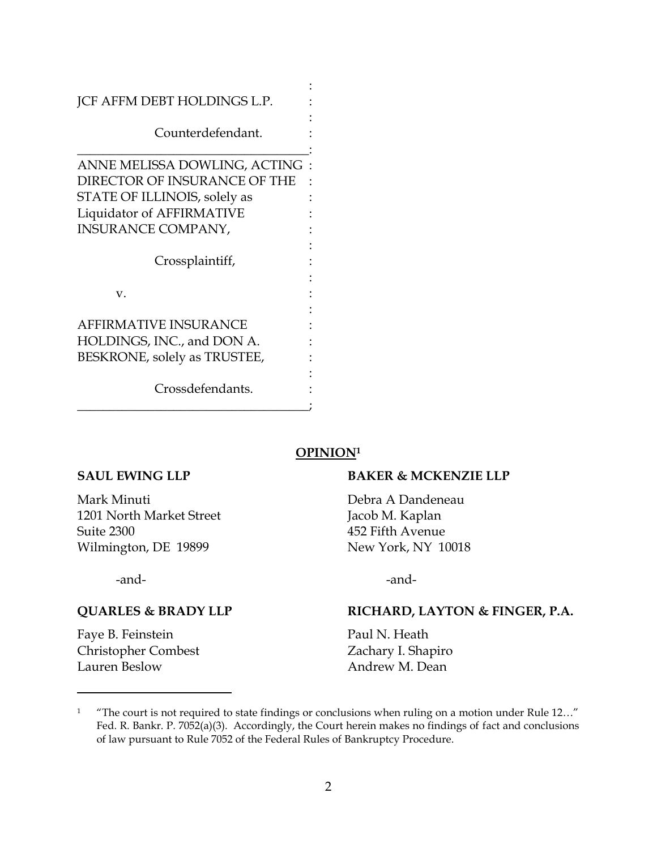| <b>JCF AFFM DEBT HOLDINGS L.P.</b> |  |
|------------------------------------|--|
| Counterdefendant.                  |  |
| ANNE MELISSA DOWLING, ACTING       |  |
| DIRECTOR OF INSURANCE OF THE       |  |
| STATE OF ILLINOIS, solely as       |  |
| Liquidator of AFFIRMATIVE          |  |
| <b>INSURANCE COMPANY,</b>          |  |
|                                    |  |
| Crossplaintiff,                    |  |
|                                    |  |
| V.                                 |  |
|                                    |  |
| <b>AFFIRMATIVE INSURANCE</b>       |  |
| HOLDINGS, INC., and DON A.         |  |
| BESKRONE, solely as TRUSTEE,       |  |
| Crossdefendants.                   |  |

### **OPINION<sup>1</sup>**

### **SAUL EWING LLP BAKER & MCKENZIE LLP**

Mark Minuti Debra A Dandeneau 1201 North Market Street Jacob M. Kaplan Suite 2300 452 Fifth Avenue Wilmington, DE 19899 New York, NY 10018

-and- -and-

Faye B. Feinstein **Paul N. Heath** Christopher Combest Zachary I. Shapiro Lauren Beslow Andrew M. Dean

 $\overline{a}$ 

### **QUARLES & BRADY LLP RICHARD, LAYTON & FINGER, P.A.**

<sup>&</sup>lt;sup>1</sup> "The court is not required to state findings or conclusions when ruling on a motion under Rule 12..." Fed. R. Bankr. P. 7052(a)(3). Accordingly, the Court herein makes no findings of fact and conclusions of law pursuant to Rule 7052 of the Federal Rules of Bankruptcy Procedure.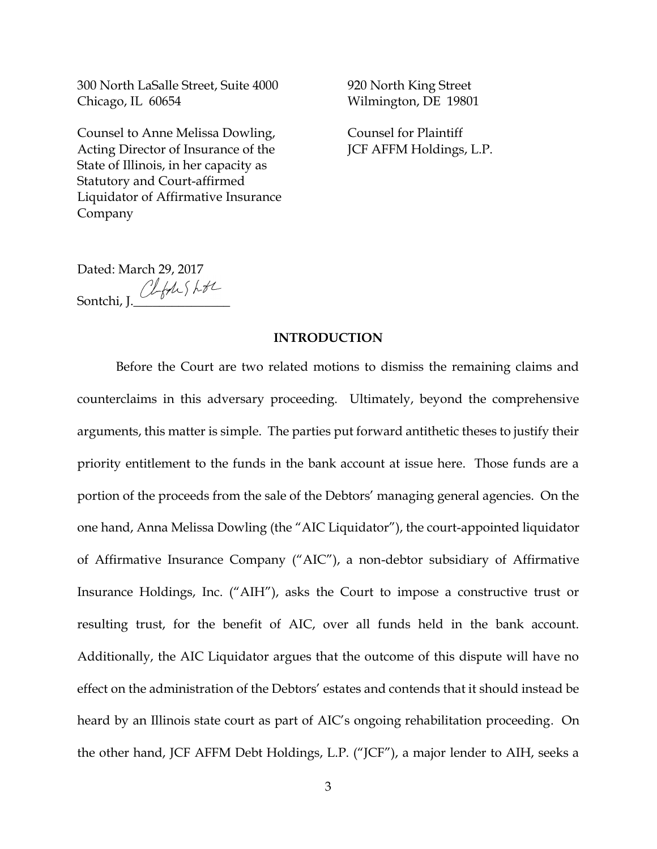300 North LaSalle Street, Suite 4000 920 North King Street Chicago, IL 60654 Wilmington, DE 19801

Counsel to Anne Melissa Dowling, Counsel for Plaintiff Acting Director of Insurance of the **JCF AFFM Holdings, L.P.** State of Illinois, in her capacity as Statutory and Court-affirmed Liquidator of Affirmative Insurance Company

Dated: March 29, 2017 Sontchi, J. Clfdes LtL

### **INTRODUCTION**

Before the Court are two related motions to dismiss the remaining claims and counterclaims in this adversary proceeding. Ultimately, beyond the comprehensive arguments, this matter is simple. The parties put forward antithetic theses to justify their priority entitlement to the funds in the bank account at issue here. Those funds are a portion of the proceeds from the sale of the Debtors' managing general agencies. On the one hand, Anna Melissa Dowling (the "AIC Liquidator"), the court-appointed liquidator of Affirmative Insurance Company ("AIC"), a non-debtor subsidiary of Affirmative Insurance Holdings, Inc. ("AIH"), asks the Court to impose a constructive trust or resulting trust, for the benefit of AIC, over all funds held in the bank account. Additionally, the AIC Liquidator argues that the outcome of this dispute will have no effect on the administration of the Debtors' estates and contends that it should instead be heard by an Illinois state court as part of AIC's ongoing rehabilitation proceeding. On the other hand, JCF AFFM Debt Holdings, L.P. ("JCF"), a major lender to AIH, seeks a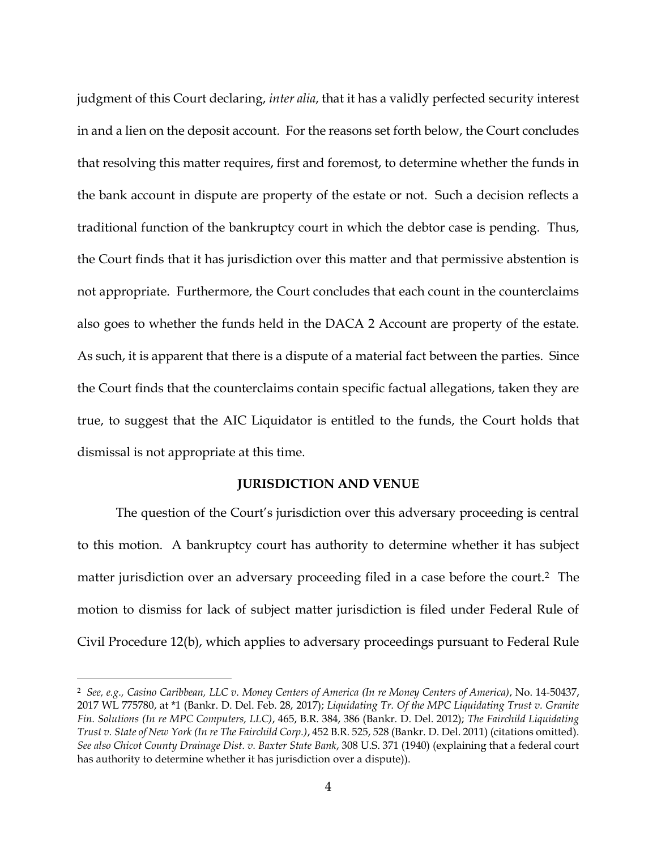judgment of this Court declaring, *inter alia*, that it has a validly perfected security interest in and a lien on the deposit account. For the reasons set forth below, the Court concludes that resolving this matter requires, first and foremost, to determine whether the funds in the bank account in dispute are property of the estate or not. Such a decision reflects a traditional function of the bankruptcy court in which the debtor case is pending. Thus, the Court finds that it has jurisdiction over this matter and that permissive abstention is not appropriate. Furthermore, the Court concludes that each count in the counterclaims also goes to whether the funds held in the DACA 2 Account are property of the estate. As such, it is apparent that there is a dispute of a material fact between the parties. Since the Court finds that the counterclaims contain specific factual allegations, taken they are true, to suggest that the AIC Liquidator is entitled to the funds, the Court holds that dismissal is not appropriate at this time.

### **JURISDICTION AND VENUE**

The question of the Court's jurisdiction over this adversary proceeding is central to this motion. A bankruptcy court has authority to determine whether it has subject matter jurisdiction over an adversary proceeding filed in a case before the court.2 The motion to dismiss for lack of subject matter jurisdiction is filed under Federal Rule of Civil Procedure 12(b), which applies to adversary proceedings pursuant to Federal Rule

<sup>2</sup> *See, e.g., Casino Caribbean, LLC v. Money Centers of America (In re Money Centers of America)*, No. 14-50437, 2017 WL 775780, at \*1 (Bankr. D. Del. Feb. 28, 2017); *Liquidating Tr. Of the MPC Liquidating Trust v. Granite Fin. Solutions (In re MPC Computers, LLC)*, 465, B.R. 384, 386 (Bankr. D. Del. 2012); *The Fairchild Liquidating Trust v. State of New York (In re The Fairchild Corp.)*, 452 B.R. 525, 528 (Bankr. D. Del. 2011) (citations omitted). *See also Chicot County Drainage Dist. v. Baxter State Bank*, 308 U.S. 371 (1940) (explaining that a federal court has authority to determine whether it has jurisdiction over a dispute)).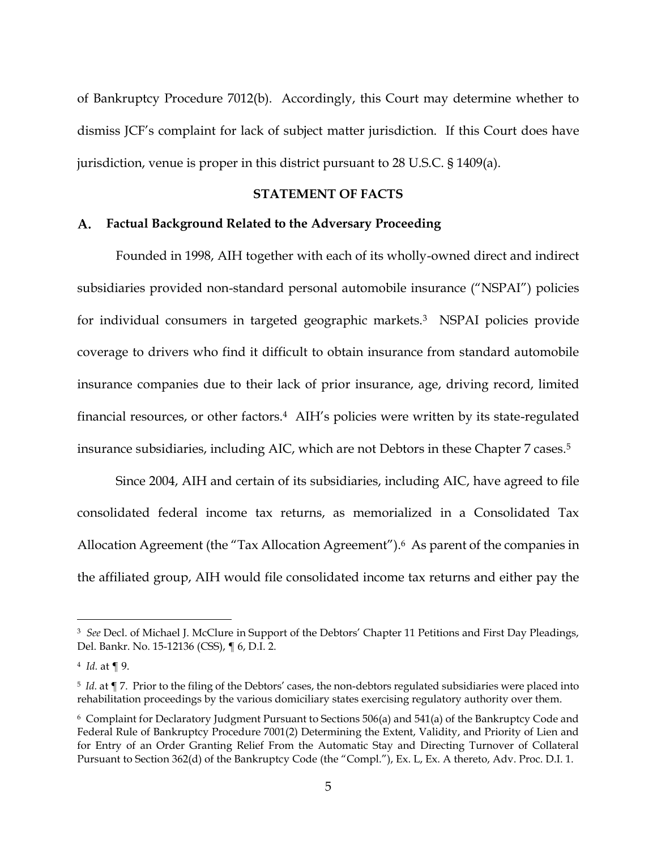of Bankruptcy Procedure 7012(b). Accordingly, this Court may determine whether to dismiss JCF's complaint for lack of subject matter jurisdiction. If this Court does have jurisdiction, venue is proper in this district pursuant to 28 U.S.C. § 1409(a).

# **STATEMENT OF FACTS**

### **Factual Background Related to the Adversary Proceeding**

Founded in 1998, AIH together with each of its wholly-owned direct and indirect subsidiaries provided non-standard personal automobile insurance ("NSPAI") policies for individual consumers in targeted geographic markets.3 NSPAI policies provide coverage to drivers who find it difficult to obtain insurance from standard automobile insurance companies due to their lack of prior insurance, age, driving record, limited financial resources, or other factors.<sup>4</sup> AIH's policies were written by its state-regulated insurance subsidiaries, including AIC, which are not Debtors in these Chapter 7 cases.<sup>5</sup>

Since 2004, AIH and certain of its subsidiaries, including AIC, have agreed to file consolidated federal income tax returns, as memorialized in a Consolidated Tax Allocation Agreement (the "Tax Allocation Agreement").<sup>6</sup> As parent of the companies in the affiliated group, AIH would file consolidated income tax returns and either pay the

<sup>3</sup> *See* Decl. of Michael J. McClure in Support of the Debtors' Chapter 11 Petitions and First Day Pleadings, Del. Bankr. No. 15-12136 (CSS), ¶ 6, D.I. 2.

<sup>4</sup> *Id.* at ¶ 9.

<sup>5</sup> *Id.* at ¶ 7. Prior to the filing of the Debtors' cases, the non-debtors regulated subsidiaries were placed into rehabilitation proceedings by the various domiciliary states exercising regulatory authority over them.

<sup>6</sup> Complaint for Declaratory Judgment Pursuant to Sections 506(a) and 541(a) of the Bankruptcy Code and Federal Rule of Bankruptcy Procedure 7001(2) Determining the Extent, Validity, and Priority of Lien and for Entry of an Order Granting Relief From the Automatic Stay and Directing Turnover of Collateral Pursuant to Section 362(d) of the Bankruptcy Code (the "Compl."), Ex. L, Ex. A thereto, Adv. Proc. D.I. 1.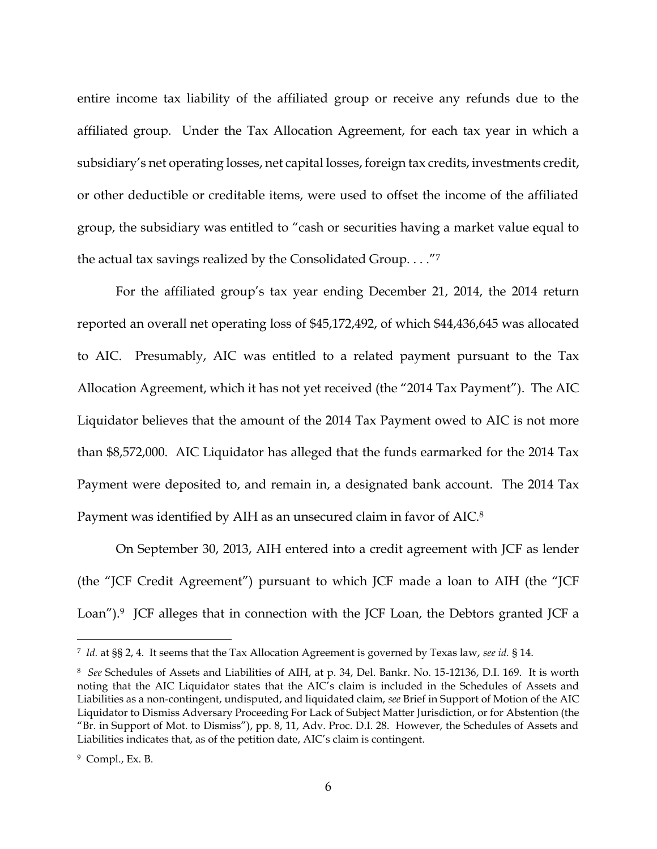entire income tax liability of the affiliated group or receive any refunds due to the affiliated group. Under the Tax Allocation Agreement, for each tax year in which a subsidiary's net operating losses, net capital losses, foreign tax credits, investments credit, or other deductible or creditable items, were used to offset the income of the affiliated group, the subsidiary was entitled to "cash or securities having a market value equal to the actual tax savings realized by the Consolidated Group. . . ."<sup>7</sup>

For the affiliated group's tax year ending December 21, 2014, the 2014 return reported an overall net operating loss of \$45,172,492, of which \$44,436,645 was allocated to AIC. Presumably, AIC was entitled to a related payment pursuant to the Tax Allocation Agreement, which it has not yet received (the "2014 Tax Payment"). The AIC Liquidator believes that the amount of the 2014 Tax Payment owed to AIC is not more than \$8,572,000. AIC Liquidator has alleged that the funds earmarked for the 2014 Tax Payment were deposited to, and remain in, a designated bank account. The 2014 Tax Payment was identified by AIH as an unsecured claim in favor of AIC.<sup>8</sup>

On September 30, 2013, AIH entered into a credit agreement with JCF as lender (the "JCF Credit Agreement") pursuant to which JCF made a loan to AIH (the "JCF Loan").<sup>9</sup> JCF alleges that in connection with the JCF Loan, the Debtors granted JCF a

<sup>7</sup> *Id.* at §§ 2, 4. It seems that the Tax Allocation Agreement is governed by Texas law, *see id.* § 14.

<sup>8</sup> *See* Schedules of Assets and Liabilities of AIH, at p. 34, Del. Bankr. No. 15-12136, D.I. 169. It is worth noting that the AIC Liquidator states that the AIC's claim is included in the Schedules of Assets and Liabilities as a non-contingent, undisputed, and liquidated claim, *see* Brief in Support of Motion of the AIC Liquidator to Dismiss Adversary Proceeding For Lack of Subject Matter Jurisdiction, or for Abstention (the "Br. in Support of Mot. to Dismiss"), pp. 8, 11, Adv. Proc. D.I. 28. However, the Schedules of Assets and Liabilities indicates that, as of the petition date, AIC's claim is contingent.

<sup>9</sup> Compl., Ex. B.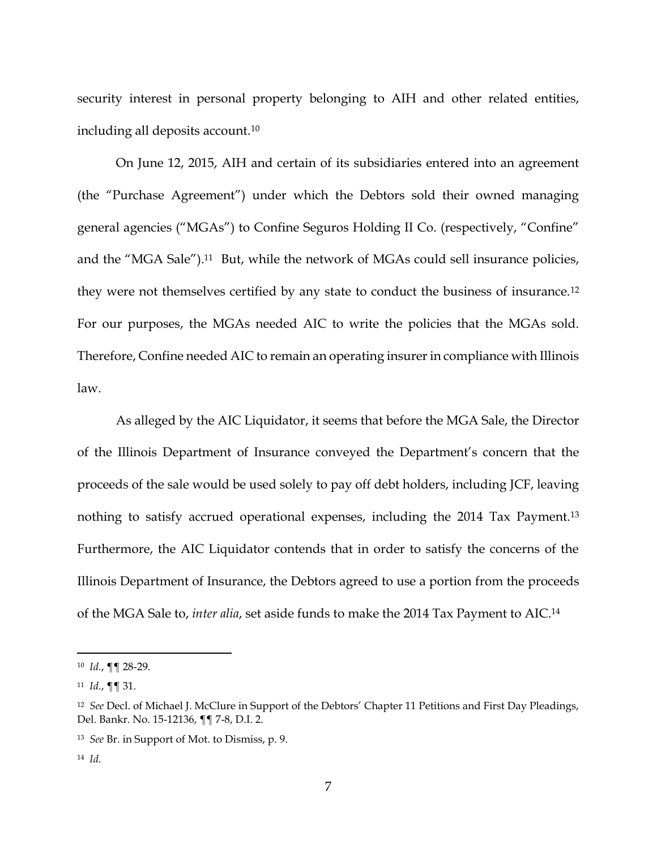security interest in personal property belonging to AIH and other related entities, including all deposits account.<sup>10</sup>

On June 12, 2015, AIH and certain of its subsidiaries entered into an agreement (the "Purchase Agreement") under which the Debtors sold their owned managing general agencies ("MGAs") to Confine Seguros Holding II Co. (respectively, "Confine" and the "MGA Sale").11 But, while the network of MGAs could sell insurance policies, they were not themselves certified by any state to conduct the business of insurance.<sup>12</sup> For our purposes, the MGAs needed AIC to write the policies that the MGAs sold. Therefore, Confine needed AIC to remain an operating insurer in compliance with Illinois law.

As alleged by the AIC Liquidator, it seems that before the MGA Sale, the Director of the Illinois Department of Insurance conveyed the Department's concern that the proceeds of the sale would be used solely to pay off debt holders, including JCF, leaving nothing to satisfy accrued operational expenses, including the 2014 Tax Payment.<sup>13</sup> Furthermore, the AIC Liquidator contends that in order to satisfy the concerns of the Illinois Department of Insurance, the Debtors agreed to use a portion from the proceeds of the MGA Sale to, *inter alia*, set aside funds to make the 2014 Tax Payment to AIC.<sup>14</sup>

<sup>10</sup> *Id.*, ¶¶ 28-29.

<sup>11</sup> *Id.*, ¶¶ 31.

<sup>12</sup> *See* Decl. of Michael J. McClure in Support of the Debtors' Chapter 11 Petitions and First Day Pleadings, Del. Bankr. No. 15-12136, ¶¶ 7-8, D.I. 2.

<sup>13</sup> *See* Br. in Support of Mot. to Dismiss, p. 9.

<sup>14</sup> *Id.*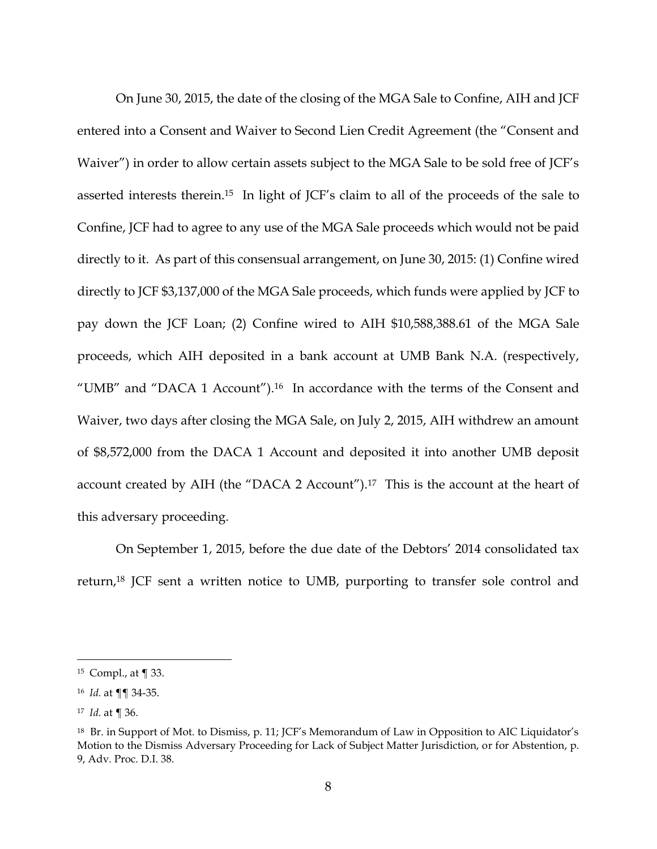On June 30, 2015, the date of the closing of the MGA Sale to Confine, AIH and JCF entered into a Consent and Waiver to Second Lien Credit Agreement (the "Consent and Waiver") in order to allow certain assets subject to the MGA Sale to be sold free of JCF's asserted interests therein.<sup>15</sup> In light of JCF's claim to all of the proceeds of the sale to Confine, JCF had to agree to any use of the MGA Sale proceeds which would not be paid directly to it. As part of this consensual arrangement, on June 30, 2015: (1) Confine wired directly to JCF \$3,137,000 of the MGA Sale proceeds, which funds were applied by JCF to pay down the JCF Loan; (2) Confine wired to AIH \$10,588,388.61 of the MGA Sale proceeds, which AIH deposited in a bank account at UMB Bank N.A. (respectively, "UMB" and "DACA 1 Account").16 In accordance with the terms of the Consent and Waiver, two days after closing the MGA Sale, on July 2, 2015, AIH withdrew an amount of \$8,572,000 from the DACA 1 Account and deposited it into another UMB deposit account created by AIH (the "DACA 2 Account").17 This is the account at the heart of this adversary proceeding.

On September 1, 2015, before the due date of the Debtors' 2014 consolidated tax return,<sup>18</sup> JCF sent a written notice to UMB, purporting to transfer sole control and

<sup>15</sup> Compl., at ¶ 33.

<sup>16</sup> *Id.* at ¶¶ 34-35.

<sup>17</sup> *Id.* at ¶ 36.

<sup>18</sup> Br. in Support of Mot. to Dismiss, p. 11; JCF's Memorandum of Law in Opposition to AIC Liquidator's Motion to the Dismiss Adversary Proceeding for Lack of Subject Matter Jurisdiction, or for Abstention, p. 9, Adv. Proc. D.I. 38.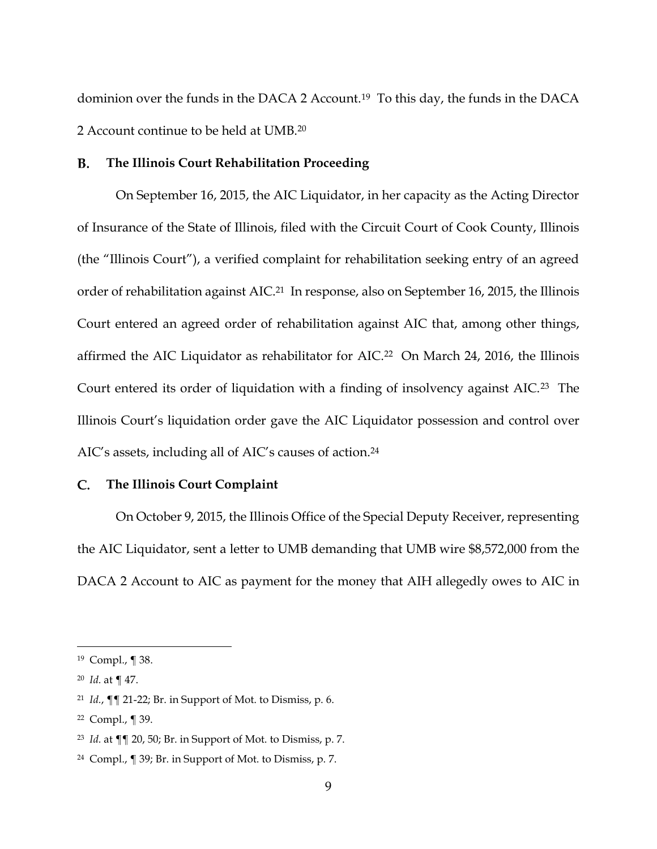dominion over the funds in the DACA 2 Account.19 To this day, the funds in the DACA 2 Account continue to be held at UMB.<sup>20</sup>

#### **B. The Illinois Court Rehabilitation Proceeding**

On September 16, 2015, the AIC Liquidator, in her capacity as the Acting Director of Insurance of the State of Illinois, filed with the Circuit Court of Cook County, Illinois (the "Illinois Court"), a verified complaint for rehabilitation seeking entry of an agreed order of rehabilitation against AIC.<sup>21</sup> In response, also on September 16, 2015, the Illinois Court entered an agreed order of rehabilitation against AIC that, among other things, affirmed the AIC Liquidator as rehabilitator for AIC.22 On March 24, 2016, the Illinois Court entered its order of liquidation with a finding of insolvency against AIC.23 The Illinois Court's liquidation order gave the AIC Liquidator possession and control over AIC's assets, including all of AIC's causes of action.<sup>24</sup>

#### $\mathbf{C}$ . **The Illinois Court Complaint**

On October 9, 2015, the Illinois Office of the Special Deputy Receiver, representing the AIC Liquidator, sent a letter to UMB demanding that UMB wire \$8,572,000 from the DACA 2 Account to AIC as payment for the money that AIH allegedly owes to AIC in

<sup>19</sup> Compl., ¶ 38.

<sup>20</sup> *Id.* at ¶ 47.

<sup>21</sup> *Id.*, ¶¶ 21-22; Br. in Support of Mot. to Dismiss, p. 6.

<sup>22</sup> Compl., ¶ 39.

<sup>23</sup> *Id.* at ¶¶ 20, 50; Br. in Support of Mot. to Dismiss, p. 7.

<sup>24</sup> Compl., ¶ 39; Br. in Support of Mot. to Dismiss, p. 7.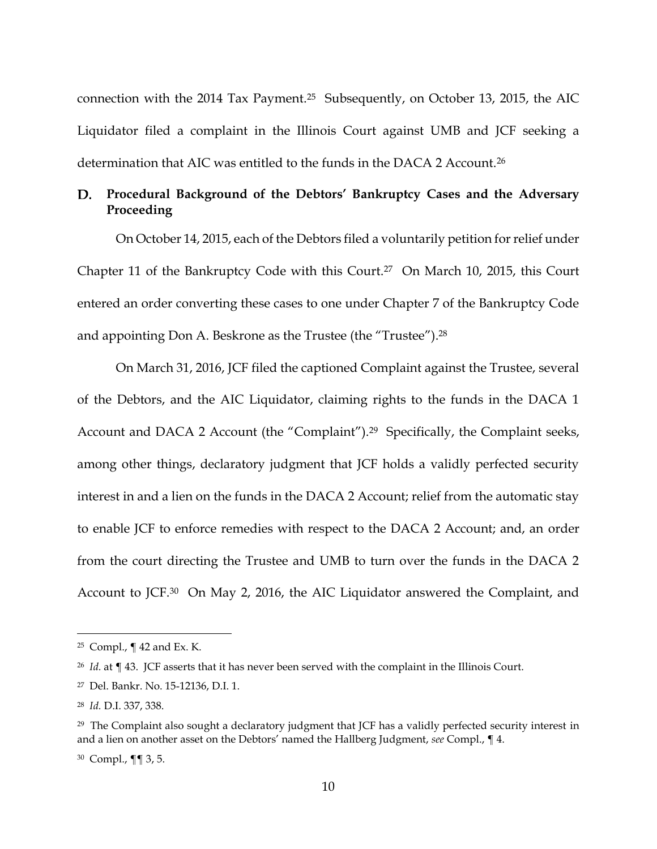connection with the 2014 Tax Payment.25 Subsequently, on October 13, 2015, the AIC Liquidator filed a complaint in the Illinois Court against UMB and JCF seeking a determination that AIC was entitled to the funds in the DACA 2 Account.<sup>26</sup>

# **Procedural Background of the Debtors' Bankruptcy Cases and the Adversary Proceeding**

On October 14, 2015, each of the Debtors filed a voluntarily petition for relief under Chapter 11 of the Bankruptcy Code with this Court.<sup>27</sup> On March 10, 2015, this Court entered an order converting these cases to one under Chapter 7 of the Bankruptcy Code and appointing Don A. Beskrone as the Trustee (the "Trustee").<sup>28</sup>

On March 31, 2016, JCF filed the captioned Complaint against the Trustee, several of the Debtors, and the AIC Liquidator, claiming rights to the funds in the DACA 1 Account and DACA 2 Account (the "Complaint").<sup>29</sup> Specifically, the Complaint seeks, among other things, declaratory judgment that JCF holds a validly perfected security interest in and a lien on the funds in the DACA 2 Account; relief from the automatic stay to enable JCF to enforce remedies with respect to the DACA 2 Account; and, an order from the court directing the Trustee and UMB to turn over the funds in the DACA 2 Account to JCF.30 On May 2, 2016, the AIC Liquidator answered the Complaint, and

<sup>25</sup> Compl., ¶ 42 and Ex. K.

<sup>26</sup> *Id.* at ¶ 43. JCF asserts that it has never been served with the complaint in the Illinois Court.

<sup>27</sup> Del. Bankr. No. 15-12136, D.I. 1.

<sup>28</sup> *Id.* D.I. 337, 338.

<sup>29</sup> The Complaint also sought a declaratory judgment that JCF has a validly perfected security interest in and a lien on another asset on the Debtors' named the Hallberg Judgment, *see* Compl., ¶ 4.

<sup>30</sup> Compl., ¶¶ 3, 5.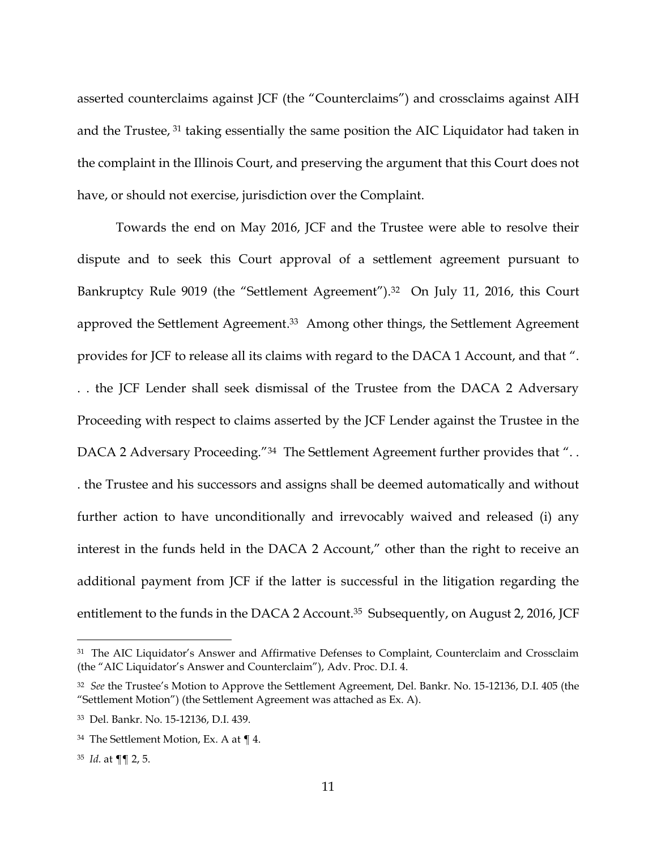asserted counterclaims against JCF (the "Counterclaims") and crossclaims against AIH and the Trustee, <sup>31</sup> taking essentially the same position the AIC Liquidator had taken in the complaint in the Illinois Court, and preserving the argument that this Court does not have, or should not exercise, jurisdiction over the Complaint.

Towards the end on May 2016, JCF and the Trustee were able to resolve their dispute and to seek this Court approval of a settlement agreement pursuant to Bankruptcy Rule 9019 (the "Settlement Agreement").<sup>32</sup> On July 11, 2016, this Court approved the Settlement Agreement. <sup>33</sup> Among other things, the Settlement Agreement provides for JCF to release all its claims with regard to the DACA 1 Account, and that ". . . the JCF Lender shall seek dismissal of the Trustee from the DACA 2 Adversary Proceeding with respect to claims asserted by the JCF Lender against the Trustee in the DACA 2 Adversary Proceeding."<sup>34</sup> The Settlement Agreement further provides that "... . the Trustee and his successors and assigns shall be deemed automatically and without further action to have unconditionally and irrevocably waived and released (i) any interest in the funds held in the DACA 2 Account," other than the right to receive an additional payment from JCF if the latter is successful in the litigation regarding the entitlement to the funds in the DACA 2 Account.<sup>35</sup> Subsequently, on August 2, 2016, JCF

<sup>&</sup>lt;sup>31</sup> The AIC Liquidator's Answer and Affirmative Defenses to Complaint, Counterclaim and Crossclaim (the "AIC Liquidator's Answer and Counterclaim"), Adv. Proc. D.I. 4.

<sup>32</sup> *See* the Trustee's Motion to Approve the Settlement Agreement, Del. Bankr. No. 15-12136, D.I. 405 (the "Settlement Motion") (the Settlement Agreement was attached as Ex. A).

<sup>33</sup> Del. Bankr. No. 15-12136, D.I. 439.

<sup>34</sup> The Settlement Motion, Ex. A at ¶ 4.

<sup>35</sup> *Id.* at ¶¶ 2, 5.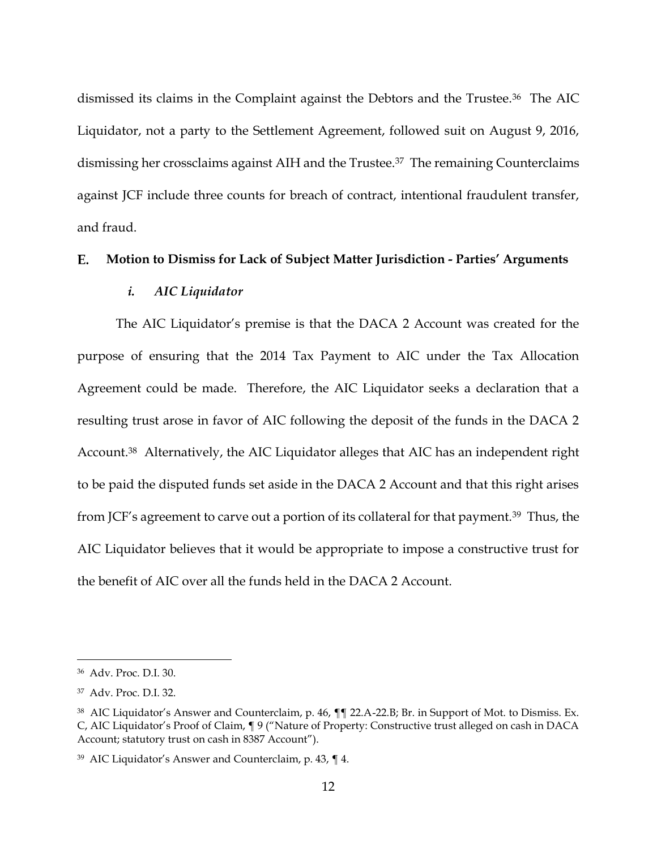dismissed its claims in the Complaint against the Debtors and the Trustee.36 The AIC Liquidator, not a party to the Settlement Agreement, followed suit on August 9, 2016, dismissing her crossclaims against AIH and the Trustee.37 The remaining Counterclaims against JCF include three counts for breach of contract, intentional fraudulent transfer, and fraud.

#### E. **Motion to Dismiss for Lack of Subject Matter Jurisdiction - Parties' Arguments**

### *i. AIC Liquidator*

The AIC Liquidator's premise is that the DACA 2 Account was created for the purpose of ensuring that the 2014 Tax Payment to AIC under the Tax Allocation Agreement could be made. Therefore, the AIC Liquidator seeks a declaration that a resulting trust arose in favor of AIC following the deposit of the funds in the DACA 2 Account.38 Alternatively, the AIC Liquidator alleges that AIC has an independent right to be paid the disputed funds set aside in the DACA 2 Account and that this right arises from JCF's agreement to carve out a portion of its collateral for that payment.<sup>39</sup> Thus, the AIC Liquidator believes that it would be appropriate to impose a constructive trust for the benefit of AIC over all the funds held in the DACA 2 Account.

<sup>36</sup> Adv. Proc. D.I. 30.

<sup>37</sup> Adv. Proc. D.I. 32.

<sup>38</sup> AIC Liquidator's Answer and Counterclaim, p. 46, ¶¶ 22.A-22.B; Br. in Support of Mot. to Dismiss. Ex. C, AIC Liquidator's Proof of Claim, ¶ 9 ("Nature of Property: Constructive trust alleged on cash in DACA Account; statutory trust on cash in 8387 Account").

<sup>39</sup> AIC Liquidator's Answer and Counterclaim, p. 43, ¶ 4.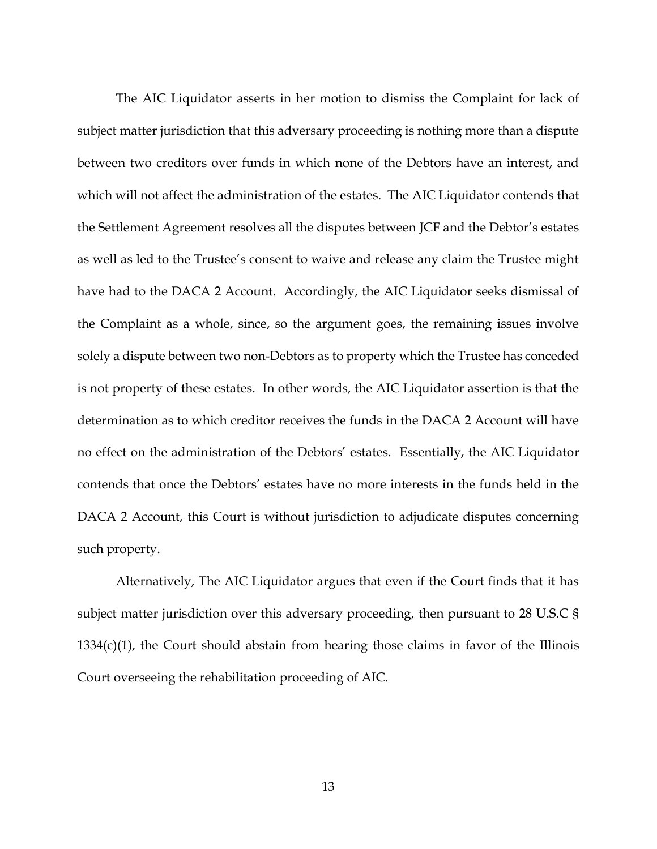The AIC Liquidator asserts in her motion to dismiss the Complaint for lack of subject matter jurisdiction that this adversary proceeding is nothing more than a dispute between two creditors over funds in which none of the Debtors have an interest, and which will not affect the administration of the estates. The AIC Liquidator contends that the Settlement Agreement resolves all the disputes between JCF and the Debtor's estates as well as led to the Trustee's consent to waive and release any claim the Trustee might have had to the DACA 2 Account. Accordingly, the AIC Liquidator seeks dismissal of the Complaint as a whole, since, so the argument goes, the remaining issues involve solely a dispute between two non-Debtors as to property which the Trustee has conceded is not property of these estates. In other words, the AIC Liquidator assertion is that the determination as to which creditor receives the funds in the DACA 2 Account will have no effect on the administration of the Debtors' estates. Essentially, the AIC Liquidator contends that once the Debtors' estates have no more interests in the funds held in the DACA 2 Account, this Court is without jurisdiction to adjudicate disputes concerning such property.

Alternatively, The AIC Liquidator argues that even if the Court finds that it has subject matter jurisdiction over this adversary proceeding, then pursuant to 28 U.S.C §  $1334(c)(1)$ , the Court should abstain from hearing those claims in favor of the Illinois Court overseeing the rehabilitation proceeding of AIC.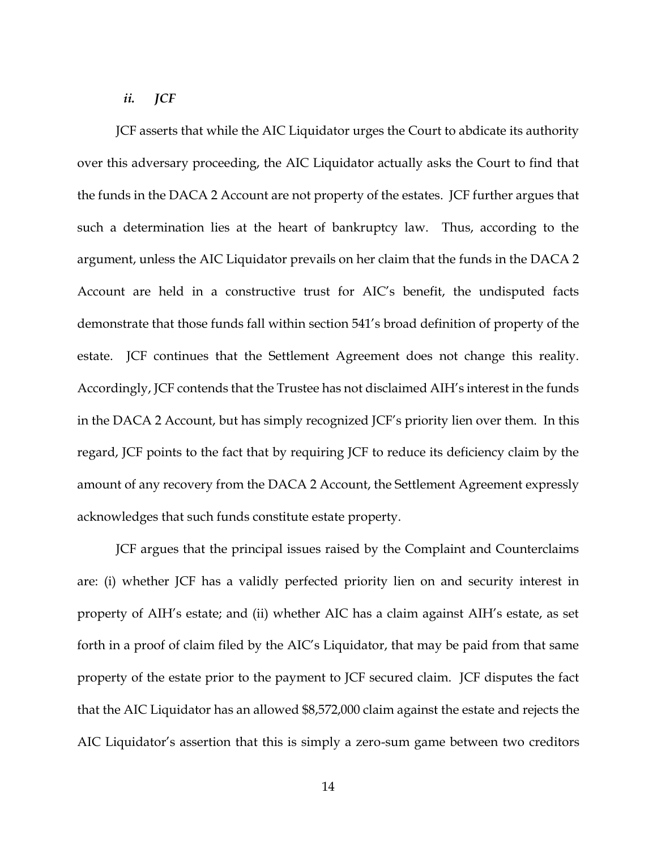### *ii. JCF*

JCF asserts that while the AIC Liquidator urges the Court to abdicate its authority over this adversary proceeding, the AIC Liquidator actually asks the Court to find that the funds in the DACA 2 Account are not property of the estates. JCF further argues that such a determination lies at the heart of bankruptcy law. Thus, according to the argument, unless the AIC Liquidator prevails on her claim that the funds in the DACA 2 Account are held in a constructive trust for AIC's benefit, the undisputed facts demonstrate that those funds fall within section 541's broad definition of property of the estate. JCF continues that the Settlement Agreement does not change this reality. Accordingly, JCF contends that the Trustee has not disclaimed AIH's interest in the funds in the DACA 2 Account, but has simply recognized JCF's priority lien over them. In this regard, JCF points to the fact that by requiring JCF to reduce its deficiency claim by the amount of any recovery from the DACA 2 Account, the Settlement Agreement expressly acknowledges that such funds constitute estate property.

JCF argues that the principal issues raised by the Complaint and Counterclaims are: (i) whether JCF has a validly perfected priority lien on and security interest in property of AIH's estate; and (ii) whether AIC has a claim against AIH's estate, as set forth in a proof of claim filed by the AIC's Liquidator, that may be paid from that same property of the estate prior to the payment to JCF secured claim. JCF disputes the fact that the AIC Liquidator has an allowed \$8,572,000 claim against the estate and rejects the AIC Liquidator's assertion that this is simply a zero-sum game between two creditors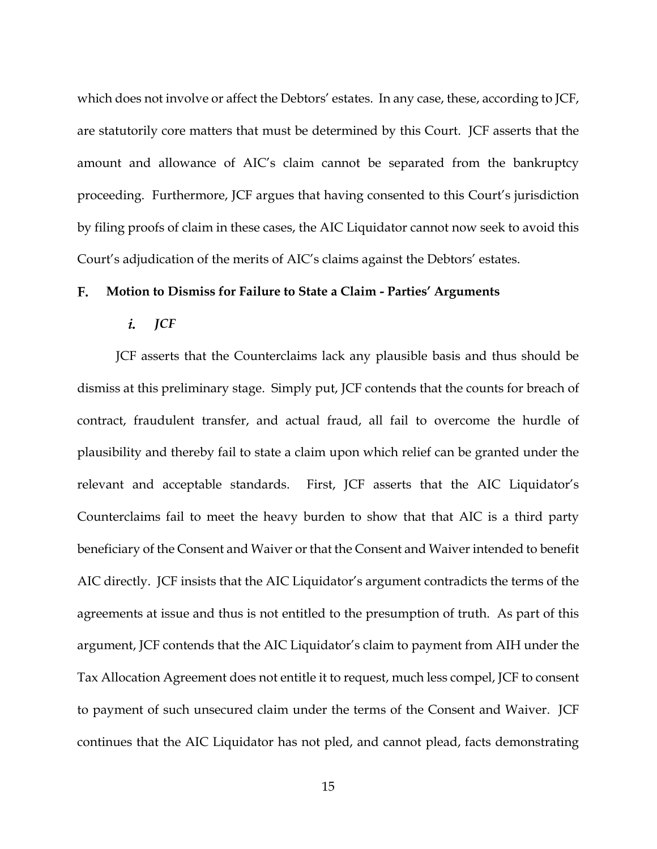which does not involve or affect the Debtors' estates. In any case, these, according to JCF, are statutorily core matters that must be determined by this Court. JCF asserts that the amount and allowance of AIC's claim cannot be separated from the bankruptcy proceeding. Furthermore, JCF argues that having consented to this Court's jurisdiction by filing proofs of claim in these cases, the AIC Liquidator cannot now seek to avoid this Court's adjudication of the merits of AIC's claims against the Debtors' estates.

### $\mathbf{F}$ . **Motion to Dismiss for Failure to State a Claim - Parties' Arguments**

### i. *JCF*

JCF asserts that the Counterclaims lack any plausible basis and thus should be dismiss at this preliminary stage. Simply put, JCF contends that the counts for breach of contract, fraudulent transfer, and actual fraud, all fail to overcome the hurdle of plausibility and thereby fail to state a claim upon which relief can be granted under the relevant and acceptable standards. First, JCF asserts that the AIC Liquidator's Counterclaims fail to meet the heavy burden to show that that AIC is a third party beneficiary of the Consent and Waiver or that the Consent and Waiver intended to benefit AIC directly. JCF insists that the AIC Liquidator's argument contradicts the terms of the agreements at issue and thus is not entitled to the presumption of truth. As part of this argument, JCF contends that the AIC Liquidator's claim to payment from AIH under the Tax Allocation Agreement does not entitle it to request, much less compel, JCF to consent to payment of such unsecured claim under the terms of the Consent and Waiver. JCF continues that the AIC Liquidator has not pled, and cannot plead, facts demonstrating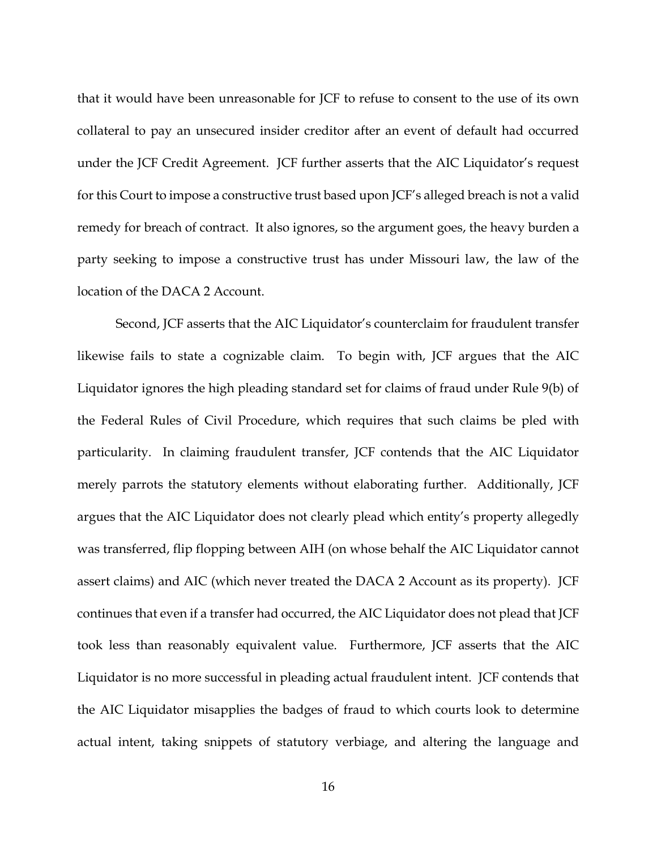that it would have been unreasonable for JCF to refuse to consent to the use of its own collateral to pay an unsecured insider creditor after an event of default had occurred under the JCF Credit Agreement. JCF further asserts that the AIC Liquidator's request for this Court to impose a constructive trust based upon JCF's alleged breach is not a valid remedy for breach of contract. It also ignores, so the argument goes, the heavy burden a party seeking to impose a constructive trust has under Missouri law, the law of the location of the DACA 2 Account.

Second, JCF asserts that the AIC Liquidator's counterclaim for fraudulent transfer likewise fails to state a cognizable claim. To begin with, JCF argues that the AIC Liquidator ignores the high pleading standard set for claims of fraud under Rule 9(b) of the Federal Rules of Civil Procedure, which requires that such claims be pled with particularity. In claiming fraudulent transfer, JCF contends that the AIC Liquidator merely parrots the statutory elements without elaborating further. Additionally, JCF argues that the AIC Liquidator does not clearly plead which entity's property allegedly was transferred, flip flopping between AIH (on whose behalf the AIC Liquidator cannot assert claims) and AIC (which never treated the DACA 2 Account as its property). JCF continues that even if a transfer had occurred, the AIC Liquidator does not plead that JCF took less than reasonably equivalent value. Furthermore, JCF asserts that the AIC Liquidator is no more successful in pleading actual fraudulent intent. JCF contends that the AIC Liquidator misapplies the badges of fraud to which courts look to determine actual intent, taking snippets of statutory verbiage, and altering the language and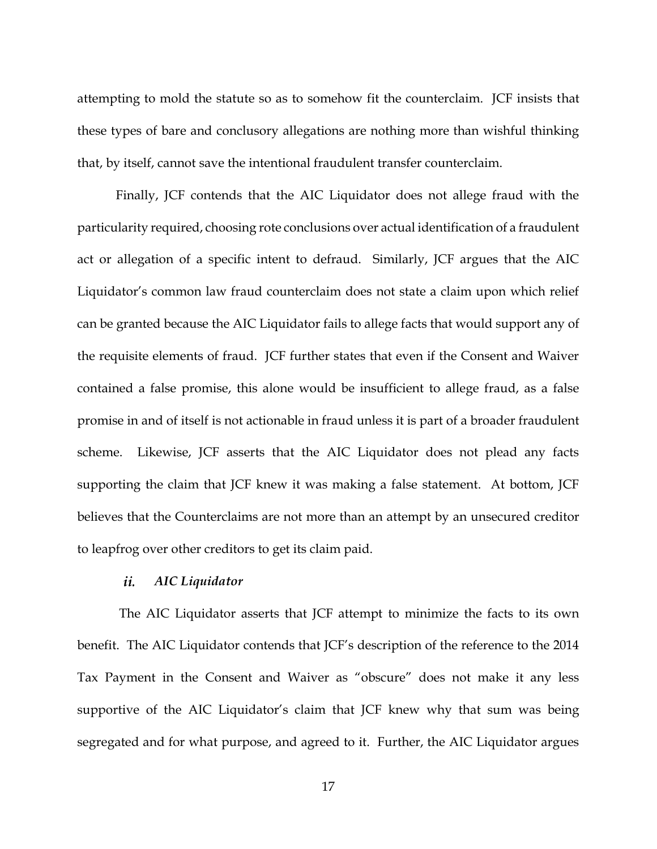attempting to mold the statute so as to somehow fit the counterclaim. JCF insists that these types of bare and conclusory allegations are nothing more than wishful thinking that, by itself, cannot save the intentional fraudulent transfer counterclaim.

Finally, JCF contends that the AIC Liquidator does not allege fraud with the particularity required, choosing rote conclusions over actual identification of a fraudulent act or allegation of a specific intent to defraud. Similarly, JCF argues that the AIC Liquidator's common law fraud counterclaim does not state a claim upon which relief can be granted because the AIC Liquidator fails to allege facts that would support any of the requisite elements of fraud. JCF further states that even if the Consent and Waiver contained a false promise, this alone would be insufficient to allege fraud, as a false promise in and of itself is not actionable in fraud unless it is part of a broader fraudulent scheme. Likewise, JCF asserts that the AIC Liquidator does not plead any facts supporting the claim that JCF knew it was making a false statement. At bottom, JCF believes that the Counterclaims are not more than an attempt by an unsecured creditor to leapfrog over other creditors to get its claim paid.

#### $ii$ *AIC Liquidator*

The AIC Liquidator asserts that JCF attempt to minimize the facts to its own benefit. The AIC Liquidator contends that JCF's description of the reference to the 2014 Tax Payment in the Consent and Waiver as "obscure" does not make it any less supportive of the AIC Liquidator's claim that JCF knew why that sum was being segregated and for what purpose, and agreed to it. Further, the AIC Liquidator argues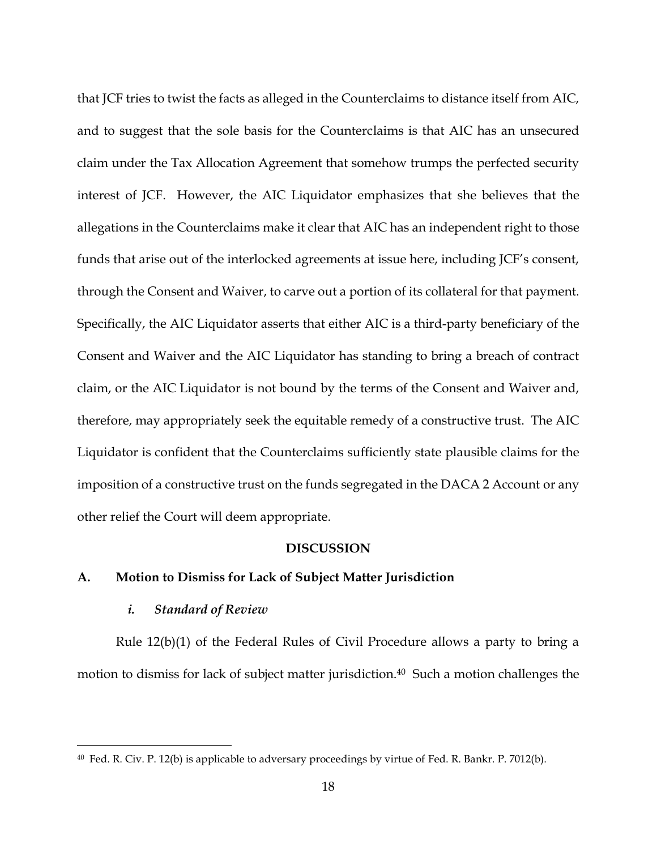that JCF tries to twist the facts as alleged in the Counterclaims to distance itself from AIC, and to suggest that the sole basis for the Counterclaims is that AIC has an unsecured claim under the Tax Allocation Agreement that somehow trumps the perfected security interest of JCF. However, the AIC Liquidator emphasizes that she believes that the allegations in the Counterclaims make it clear that AIC has an independent right to those funds that arise out of the interlocked agreements at issue here, including JCF's consent, through the Consent and Waiver, to carve out a portion of its collateral for that payment. Specifically, the AIC Liquidator asserts that either AIC is a third-party beneficiary of the Consent and Waiver and the AIC Liquidator has standing to bring a breach of contract claim, or the AIC Liquidator is not bound by the terms of the Consent and Waiver and, therefore, may appropriately seek the equitable remedy of a constructive trust. The AIC Liquidator is confident that the Counterclaims sufficiently state plausible claims for the imposition of a constructive trust on the funds segregated in the DACA 2 Account or any other relief the Court will deem appropriate.

### **DISCUSSION**

## **A. Motion to Dismiss for Lack of Subject Matter Jurisdiction**

### *i. Standard of Review*

 $\overline{a}$ 

Rule 12(b)(1) of the Federal Rules of Civil Procedure allows a party to bring a motion to dismiss for lack of subject matter jurisdiction.40 Such a motion challenges the

<sup>40</sup> Fed. R. Civ. P. 12(b) is applicable to adversary proceedings by virtue of Fed. R. Bankr. P. 7012(b).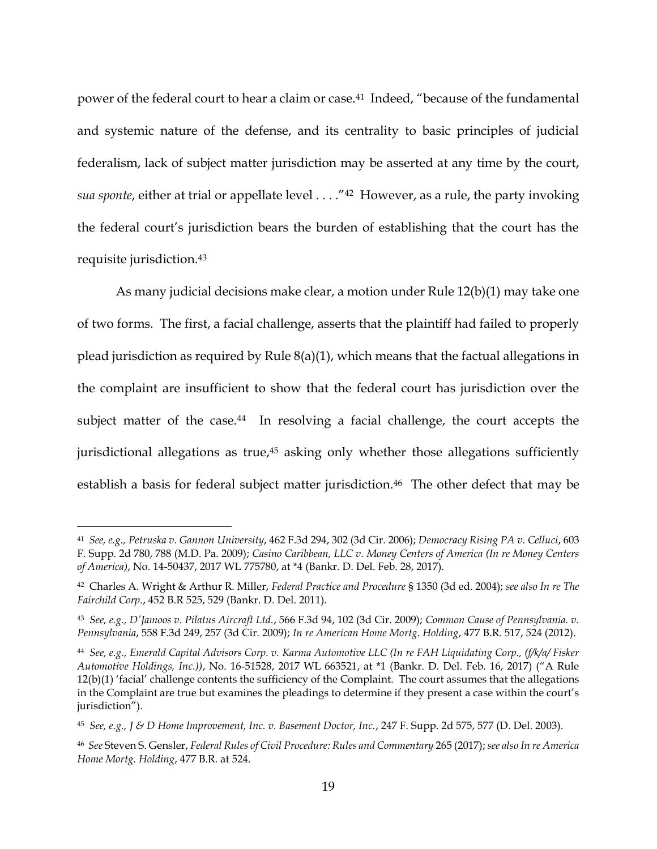power of the federal court to hear a claim or case.<sup>41</sup> Indeed, "because of the fundamental and systemic nature of the defense, and its centrality to basic principles of judicial federalism, lack of subject matter jurisdiction may be asserted at any time by the court, *sua sponte*, either at trial or appellate level . . . ."42 However, as a rule, the party invoking the federal court's jurisdiction bears the burden of establishing that the court has the requisite jurisdiction.<sup>43</sup>

As many judicial decisions make clear, a motion under Rule 12(b)(1) may take one of two forms. The first, a facial challenge, asserts that the plaintiff had failed to properly plead jurisdiction as required by Rule 8(a)(1), which means that the factual allegations in the complaint are insufficient to show that the federal court has jurisdiction over the subject matter of the case.<sup>44</sup> In resolving a facial challenge, the court accepts the jurisdictional allegations as true,<sup>45</sup> asking only whether those allegations sufficiently establish a basis for federal subject matter jurisdiction.<sup>46</sup> The other defect that may be

<sup>41</sup> *See, e.g., Petruska v. Gannon University*, 462 F.3d 294, 302 (3d Cir. 2006); *Democracy Rising PA v. Celluci*, 603 F. Supp. 2d 780, 788 (M.D. Pa. 2009); *Casino Caribbean, LLC v. Money Centers of America (In re Money Centers of America)*, No. 14-50437, 2017 WL 775780, at \*4 (Bankr. D. Del. Feb. 28, 2017).

<sup>42</sup> Charles A. Wright & Arthur R. Miller, *Federal Practice and Procedure* § 1350 (3d ed. 2004); *see also In re The Fairchild Corp.*, 452 B.R 525, 529 (Bankr. D. Del. 2011).

<sup>43</sup> *See, e.g., D'Jamoos v. Pilatus Aircraft Ltd.*, 566 F.3d 94, 102 (3d Cir. 2009); *Common Cause of Pennsylvania. v. Pennsylvania*, 558 F.3d 249, 257 (3d Cir. 2009); *In re American Home Mortg. Holding*, 477 B.R. 517, 524 (2012).

<sup>44</sup> *See, e.g., Emerald Capital Advisors Corp. v. Karma Automotive LLC (In re FAH Liquidating Corp., (f/k/a/ Fisker Automotive Holdings, Inc.))*, No. 16-51528, 2017 WL 663521, at \*1 (Bankr. D. Del. Feb. 16, 2017) ("A Rule 12(b)(1) 'facial' challenge contents the sufficiency of the Complaint. The court assumes that the allegations in the Complaint are true but examines the pleadings to determine if they present a case within the court's jurisdiction").

<sup>45</sup> *See, e.g., J & D Home Improvement, Inc. v. Basement Doctor, Inc.*, 247 F. Supp. 2d 575, 577 (D. Del. 2003).

<sup>46</sup> *See* Steven S. Gensler, *Federal Rules of Civil Procedure: Rules and Commentary* 265 (2017); *see also In re America Home Mortg. Holding*, 477 B.R. at 524.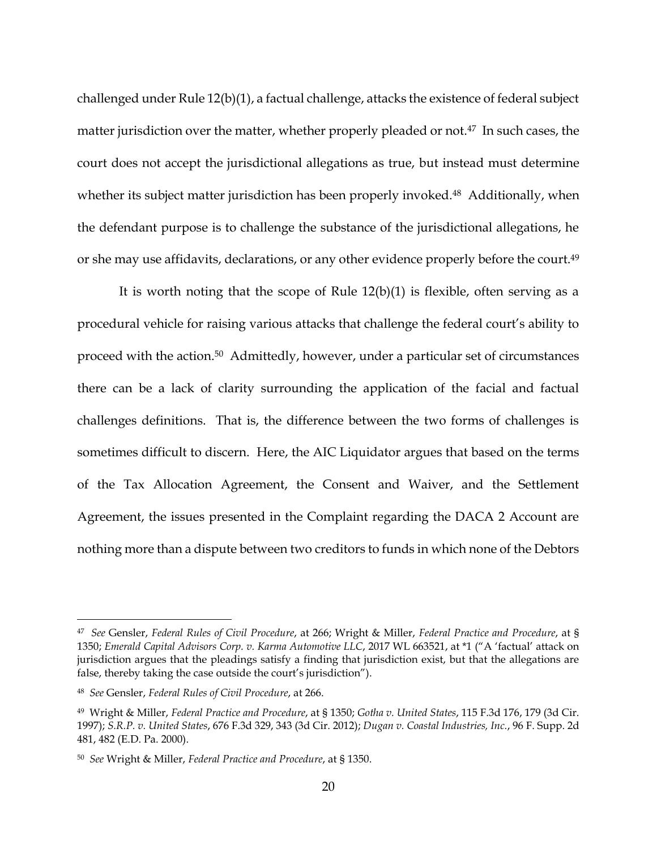challenged under Rule 12(b)(1), a factual challenge, attacks the existence of federal subject matter jurisdiction over the matter, whether properly pleaded or not.<sup>47</sup> In such cases, the court does not accept the jurisdictional allegations as true, but instead must determine whether its subject matter jurisdiction has been properly invoked.<sup>48</sup> Additionally, when the defendant purpose is to challenge the substance of the jurisdictional allegations, he or she may use affidavits, declarations, or any other evidence properly before the court.<sup>49</sup>

It is worth noting that the scope of Rule  $12(b)(1)$  is flexible, often serving as a procedural vehicle for raising various attacks that challenge the federal court's ability to proceed with the action.50 Admittedly, however, under a particular set of circumstances there can be a lack of clarity surrounding the application of the facial and factual challenges definitions. That is, the difference between the two forms of challenges is sometimes difficult to discern. Here, the AIC Liquidator argues that based on the terms of the Tax Allocation Agreement, the Consent and Waiver, and the Settlement Agreement, the issues presented in the Complaint regarding the DACA 2 Account are nothing more than a dispute between two creditors to funds in which none of the Debtors

<sup>47</sup> *See* Gensler, *Federal Rules of Civil Procedure*, at 266; Wright & Miller, *Federal Practice and Procedure*, at § 1350; *Emerald Capital Advisors Corp. v. Karma Automotive LLC*, 2017 WL 663521, at \*1 ("A 'factual' attack on jurisdiction argues that the pleadings satisfy a finding that jurisdiction exist, but that the allegations are false, thereby taking the case outside the court's jurisdiction").

<sup>48</sup> *See* Gensler, *Federal Rules of Civil Procedure*, at 266.

<sup>49</sup> Wright & Miller, *Federal Practice and Procedure*, at § 1350; *Gotha v. United States*, 115 F.3d 176, 179 (3d Cir. 1997); *S.R.P. v. United States*, 676 F.3d 329, 343 (3d Cir. 2012); *Dugan v. Coastal Industries, Inc.*, 96 F. Supp. 2d 481, 482 (E.D. Pa. 2000).

<sup>50</sup> *See* Wright & Miller, *Federal Practice and Procedure*, at § 1350.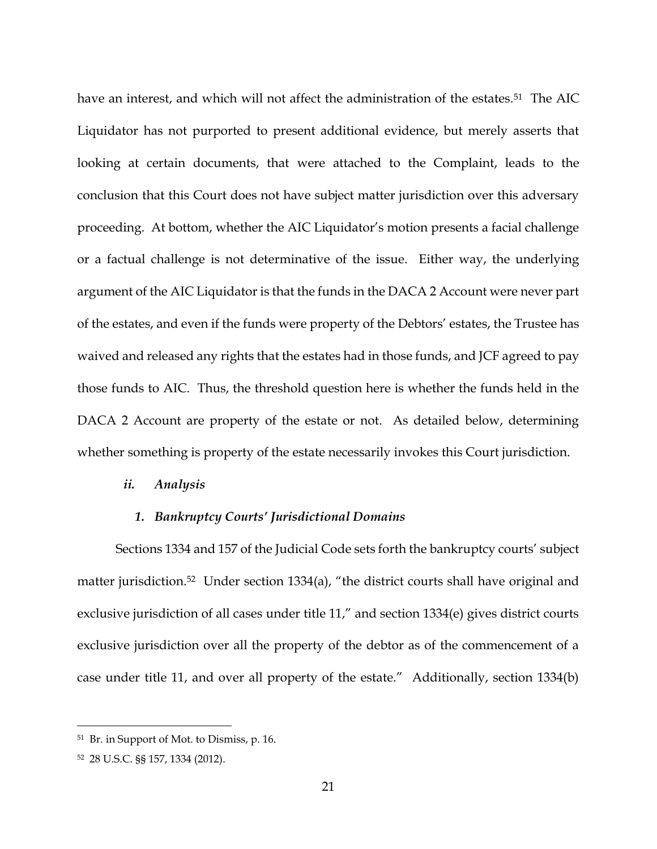have an interest, and which will not affect the administration of the estates.<sup>51</sup> The AIC Liquidator has not purported to present additional evidence, but merely asserts that looking at certain documents, that were attached to the Complaint, leads to the conclusion that this Court does not have subject matter jurisdiction over this adversary proceeding. At bottom, whether the AIC Liquidator's motion presents a facial challenge or a factual challenge is not determinative of the issue. Either way, the underlying argument of the AIC Liquidator is that the funds in the DACA 2 Account were never part of the estates, and even if the funds were property of the Debtors' estates, the Trustee has waived and released any rights that the estates had in those funds, and JCF agreed to pay those funds to AIC. Thus, the threshold question here is whether the funds held in the DACA 2 Account are property of the estate or not. As detailed below, determining whether something is property of the estate necessarily invokes this Court jurisdiction.

### *ii. Analysis*

### *1. Bankruptcy Courts' Jurisdictional Domains*

Sections 1334 and 157 of the Judicial Code sets forth the bankruptcy courts' subject matter jurisdiction.<sup>52</sup> Under section 1334(a), "the district courts shall have original and exclusive jurisdiction of all cases under title 11," and section 1334(e) gives district courts exclusive jurisdiction over all the property of the debtor as of the commencement of a case under title 11, and over all property of the estate." Additionally, section 1334(b)

<sup>51</sup> Br. in Support of Mot. to Dismiss, p. 16.

<sup>52</sup> 28 U.S.C. §§ 157, 1334 (2012).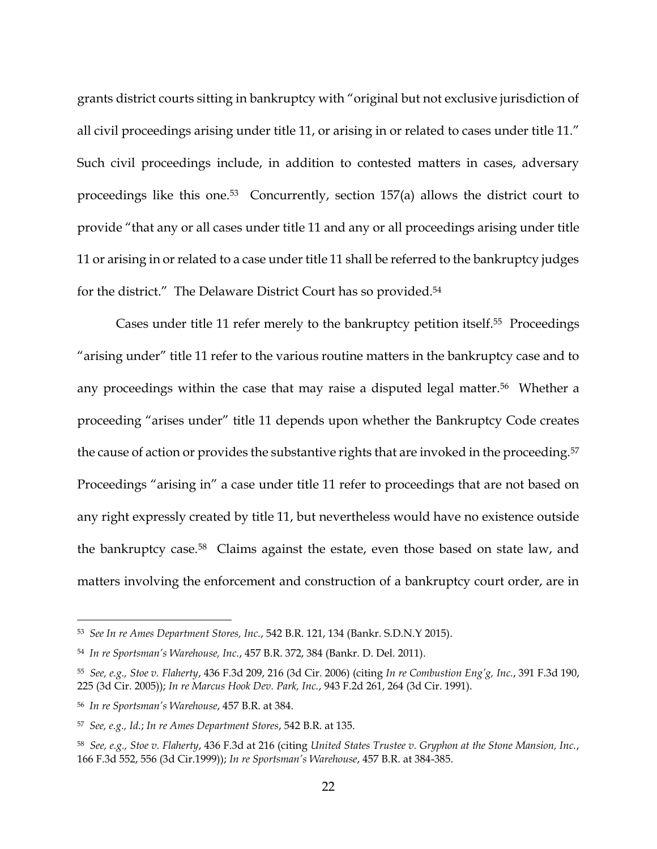grants district courts sitting in bankruptcy with "original but not exclusive jurisdiction of all civil proceedings arising under title 11, or arising in or related to cases under title 11." Such civil proceedings include, in addition to contested matters in cases, adversary proceedings like this one.53 Concurrently, section 157(a) allows the district court to provide "that any or all cases under title 11 and any or all proceedings arising under title 11 or arising in or related to a case under title 11 shall be referred to the bankruptcy judges for the district." The Delaware District Court has so provided.<sup>54</sup>

Cases under title 11 refer merely to the bankruptcy petition itself.<sup>55</sup> Proceedings "arising under" title 11 refer to the various routine matters in the bankruptcy case and to any proceedings within the case that may raise a disputed legal matter.<sup>56</sup> Whether a proceeding "arises under" title 11 depends upon whether the Bankruptcy Code creates the cause of action or provides the substantive rights that are invoked in the proceeding.<sup>57</sup> Proceedings "arising in" a case under title 11 refer to proceedings that are not based on any right expressly created by title 11, but nevertheless would have no existence outside the bankruptcy case.58 Claims against the estate, even those based on state law, and matters involving the enforcement and construction of a bankruptcy court order, are in

<sup>53</sup> *See In re Ames Department Stores, Inc.*, 542 B.R. 121, 134 (Bankr. S.D.N.Y 2015).

<sup>54</sup> *In re Sportsman's Warehouse, Inc.*, 457 B.R. 372, 384 (Bankr. D. Del. 2011).

<sup>55</sup> *See, e.g., Stoe v. Flaherty*, 436 F.3d 209, 216 (3d Cir. 2006) (citing *In re Combustion Eng'g, Inc.*, 391 F.3d 190, 225 (3d Cir. 2005)); *In re Marcus Hook Dev. Park, Inc.*, 943 F.2d 261, 264 (3d Cir. 1991).

<sup>56</sup> *In re Sportsman's Warehouse*, 457 B.R. at 384.

<sup>57</sup> *See, e.g., Id.*; *In re Ames Department Stores*, 542 B.R. at 135.

<sup>58</sup> *See, e.g., Stoe v. Flaherty*, 436 F.3d at 216 (citing *United States Trustee v. Gryphon at the Stone Mansion, Inc.*, 166 F.3d 552, 556 (3d Cir.1999)); *In re Sportsman's Warehouse*, 457 B.R. at 384-385.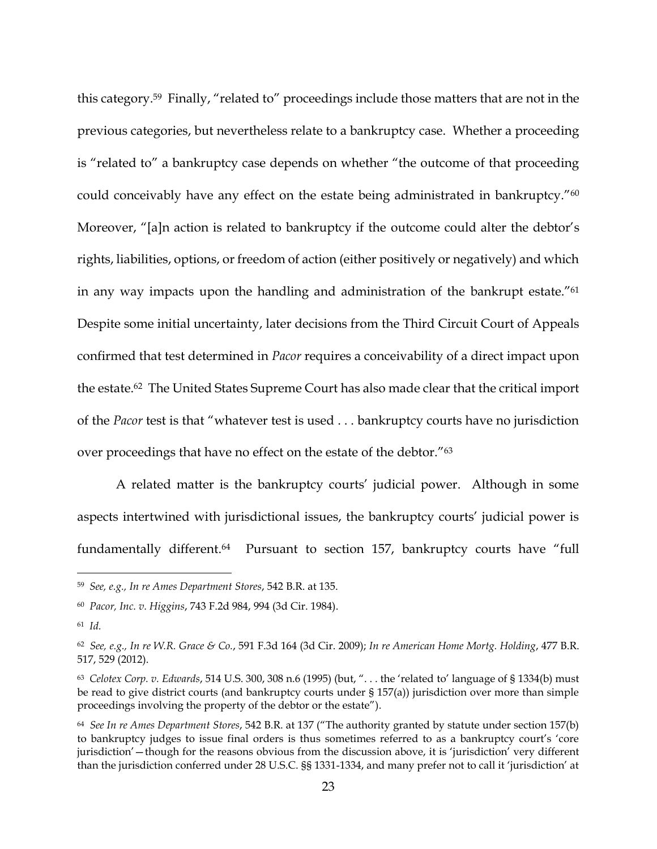this category.<sup>59</sup> Finally, "related to" proceedings include those matters that are not in the previous categories, but nevertheless relate to a bankruptcy case. Whether a proceeding is "related to" a bankruptcy case depends on whether "the outcome of that proceeding could conceivably have any effect on the estate being administrated in bankruptcy."<sup>60</sup> Moreover, "[a]n action is related to bankruptcy if the outcome could alter the debtor's rights, liabilities, options, or freedom of action (either positively or negatively) and which in any way impacts upon the handling and administration of the bankrupt estate."<sup>61</sup> Despite some initial uncertainty, later decisions from the Third Circuit Court of Appeals confirmed that test determined in *Pacor* requires a conceivability of a direct impact upon the estate.62 The United States Supreme Court has also made clear that the critical import of the *Pacor* test is that "whatever test is used . . . bankruptcy courts have no jurisdiction over proceedings that have no effect on the estate of the debtor."<sup>63</sup>

A related matter is the bankruptcy courts' judicial power. Although in some aspects intertwined with jurisdictional issues, the bankruptcy courts' judicial power is fundamentally different.<sup>64</sup> Pursuant to section 157, bankruptcy courts have "full

<sup>59</sup> *See, e.g., In re Ames Department Stores*, 542 B.R. at 135.

<sup>60</sup> *Pacor, Inc. v. Higgins*, 743 F.2d 984, 994 (3d Cir. 1984).

<sup>61</sup> *Id.*

<sup>62</sup> *See, e.g., In re W.R. Grace & Co.*, 591 F.3d 164 (3d Cir. 2009); *In re American Home Mortg. Holding*, 477 B.R. 517, 529 (2012).

<sup>63</sup> *Celotex Corp. v. Edwards*, 514 U.S. 300, 308 n.6 (1995) (but, ". . . the 'related to' language of § 1334(b) must be read to give district courts (and bankruptcy courts under § 157(a)) jurisdiction over more than simple proceedings involving the property of the debtor or the estate").

<sup>64</sup> *See In re Ames Department Stores*, 542 B.R. at 137 ("The authority granted by statute under section 157(b) to bankruptcy judges to issue final orders is thus sometimes referred to as a bankruptcy court's 'core jurisdiction'—though for the reasons obvious from the discussion above, it is 'jurisdiction' very different than the jurisdiction conferred under 28 U.S.C. §§ 1331-1334, and many prefer not to call it 'jurisdiction' at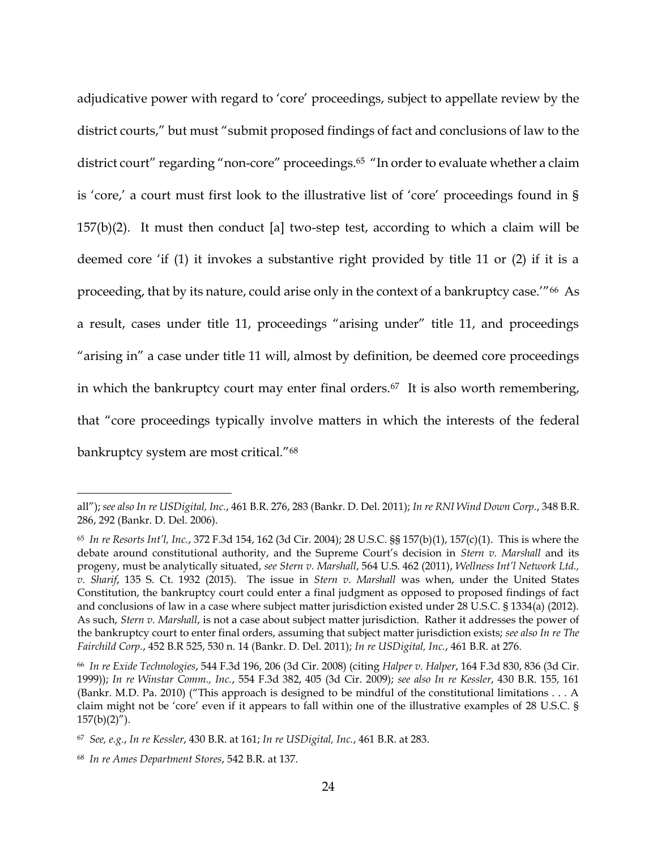adjudicative power with regard to 'core' proceedings, subject to appellate review by the district courts," but must "submit proposed findings of fact and conclusions of law to the district court" regarding "non-core" proceedings.<sup>65</sup> "In order to evaluate whether a claim is 'core,' a court must first look to the illustrative list of 'core' proceedings found in §  $157(b)(2)$ . It must then conduct [a] two-step test, according to which a claim will be deemed core 'if (1) it invokes a substantive right provided by title 11 or (2) if it is a proceeding, that by its nature, could arise only in the context of a bankruptcy case.'"66 As a result, cases under title 11, proceedings "arising under" title 11, and proceedings "arising in" a case under title 11 will, almost by definition, be deemed core proceedings in which the bankruptcy court may enter final orders.<sup>67</sup> It is also worth remembering, that "core proceedings typically involve matters in which the interests of the federal bankruptcy system are most critical."<sup>68</sup>

all"); *see also In re USDigital, Inc.*, 461 B.R. 276, 283 (Bankr. D. Del. 2011); *In re RNI Wind Down Corp.*, 348 B.R. 286, 292 (Bankr. D. Del. 2006).

<sup>65</sup> *In re Resorts Int'l, Inc.*, 372 F.3d 154, 162 (3d Cir. 2004); 28 U.S.C. §§ 157(b)(1), 157(c)(1). This is where the debate around constitutional authority, and the Supreme Court's decision in *Stern v. Marshall* and its progeny, must be analytically situated, *see Stern v. Marshall*, 564 U.S. 462 (2011), *Wellness Int'l Network Ltd., v. Sharif*, 135 S. Ct. 1932 (2015). The issue in *Stern v. Marshall* was when, under the United States Constitution, the bankruptcy court could enter a final judgment as opposed to proposed findings of fact and conclusions of law in a case where subject matter jurisdiction existed under 28 U.S.C. § 1334(a) (2012). As such, *Stern v. Marshall*, is not a case about subject matter jurisdiction. Rather it addresses the power of the bankruptcy court to enter final orders, assuming that subject matter jurisdiction exists; *see also In re The Fairchild Corp.*, 452 B.R 525, 530 n. 14 (Bankr. D. Del. 2011); *In re USDigital, Inc.*, 461 B.R. at 276.

<sup>66</sup> *In re Exide Technologies*, 544 F.3d 196, 206 (3d Cir. 2008) (citing *Halper v. Halper*, 164 F.3d 830, 836 (3d Cir. 1999)); *In re Winstar Comm., Inc.*, 554 F.3d 382, 405 (3d Cir. 2009); *see also In re Kessler*, 430 B.R. 155, 161 (Bankr. M.D. Pa. 2010) ("This approach is designed to be mindful of the constitutional limitations . . . A claim might not be 'core' even if it appears to fall within one of the illustrative examples of 28 U.S.C. §  $157(b)(2)$ ").

<sup>67</sup> *See, e.g.*, *In re Kessler*, 430 B.R. at 161; *In re USDigital, Inc.*, 461 B.R. at 283.

<sup>68</sup> *In re Ames Department Stores*, 542 B.R. at 137.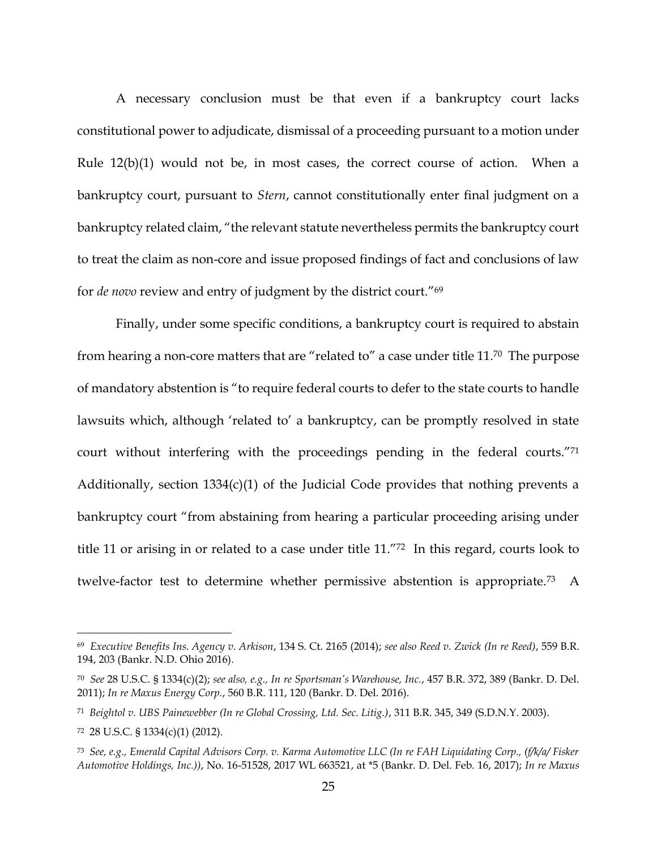A necessary conclusion must be that even if a bankruptcy court lacks constitutional power to adjudicate, dismissal of a proceeding pursuant to a motion under Rule 12(b)(1) would not be, in most cases, the correct course of action. When a bankruptcy court, pursuant to *Stern*, cannot constitutionally enter final judgment on a bankruptcy related claim, "the relevant statute nevertheless permits the bankruptcy court to treat the claim as non-core and issue proposed findings of fact and conclusions of law for *de novo* review and entry of judgment by the district court."<sup>69</sup>

Finally, under some specific conditions, a bankruptcy court is required to abstain from hearing a non-core matters that are "related to" a case under title 11.70 The purpose of mandatory abstention is "to require federal courts to defer to the state courts to handle lawsuits which, although 'related to' a bankruptcy, can be promptly resolved in state court without interfering with the proceedings pending in the federal courts."<sup>71</sup> Additionally, section  $1334(c)(1)$  of the Judicial Code provides that nothing prevents a bankruptcy court "from abstaining from hearing a particular proceeding arising under title 11 or arising in or related to a case under title 11."72 In this regard, courts look to twelve-factor test to determine whether permissive abstention is appropriate.73 A

<sup>69</sup> *Executive Benefits Ins. Agency v. Arkison*, 134 S. Ct. 2165 (2014); *see also Reed v. Zwick (In re Reed)*, 559 B.R. 194, 203 (Bankr. N.D. Ohio 2016).

<sup>70</sup> *See* 28 U.S.C. § 1334(c)(2); *see also, e.g., In re Sportsman's Warehouse, Inc.*, 457 B.R. 372, 389 (Bankr. D. Del. 2011); *In re Maxus Energy Corp.*, 560 B.R. 111, 120 (Bankr. D. Del. 2016).

<sup>71</sup> *Beightol v. UBS Painewebber (In re Global Crossing, Ltd. Sec. Litig.)*, 311 B.R. 345, 349 (S.D.N.Y. 2003).

<sup>72</sup> 28 U.S.C. § 1334(c)(1) (2012).

<sup>73</sup> *See, e.g., Emerald Capital Advisors Corp. v. Karma Automotive LLC (In re FAH Liquidating Corp., (f/k/a/ Fisker Automotive Holdings, Inc.))*, No. 16-51528, 2017 WL 663521, at \*5 (Bankr. D. Del. Feb. 16, 2017); *In re Maxus*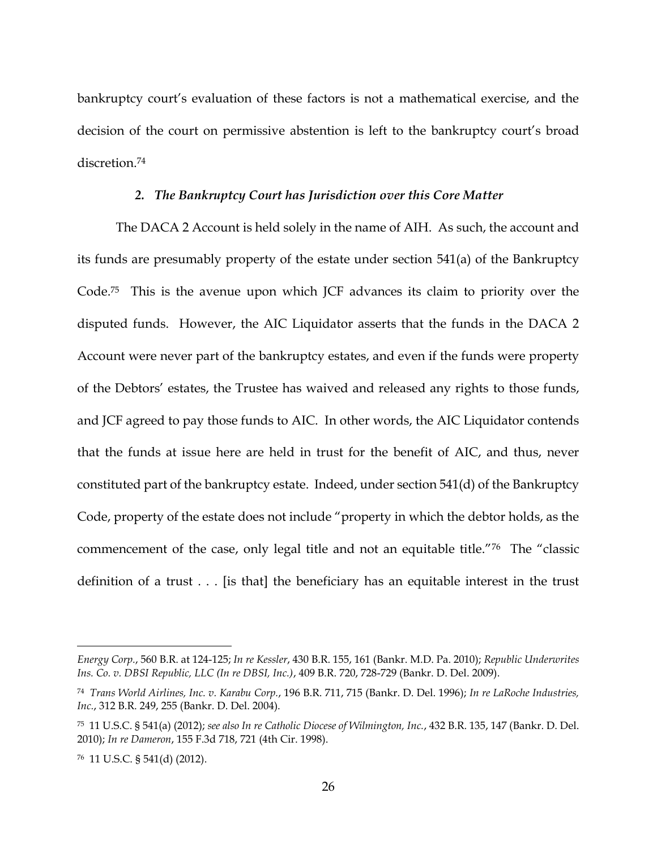bankruptcy court's evaluation of these factors is not a mathematical exercise, and the decision of the court on permissive abstention is left to the bankruptcy court's broad discretion.<sup>74</sup>

### *2. The Bankruptcy Court has Jurisdiction over this Core Matter*

The DACA 2 Account is held solely in the name of AIH. As such, the account and its funds are presumably property of the estate under section 541(a) of the Bankruptcy Code.75 This is the avenue upon which JCF advances its claim to priority over the disputed funds. However, the AIC Liquidator asserts that the funds in the DACA 2 Account were never part of the bankruptcy estates, and even if the funds were property of the Debtors' estates, the Trustee has waived and released any rights to those funds, and JCF agreed to pay those funds to AIC. In other words, the AIC Liquidator contends that the funds at issue here are held in trust for the benefit of AIC, and thus, never constituted part of the bankruptcy estate. Indeed, under section 541(d) of the Bankruptcy Code, property of the estate does not include "property in which the debtor holds, as the commencement of the case, only legal title and not an equitable title."<sup>76</sup> The "classic definition of a trust . . . [is that] the beneficiary has an equitable interest in the trust

*Energy Corp.*, 560 B.R. at 124-125; *In re Kessler*, 430 B.R. 155, 161 (Bankr. M.D. Pa. 2010); *Republic Underwrites Ins. Co. v. DBSI Republic, LLC (In re DBSI, Inc.)*, 409 B.R. 720, 728-729 (Bankr. D. Del. 2009).

<sup>74</sup> *Trans World Airlines, Inc. v. Karabu Corp.*, 196 B.R. 711, 715 (Bankr. D. Del. 1996); *In re LaRoche Industries, Inc.*, 312 B.R. 249, 255 (Bankr. D. Del. 2004).

<sup>75</sup> 11 U.S.C. § 541(a) (2012); *see also In re Catholic Diocese of Wilmington, Inc.*, 432 B.R. 135, 147 (Bankr. D. Del. 2010); *In re Dameron*, 155 F.3d 718, 721 (4th Cir. 1998).

<sup>76</sup> 11 U.S.C. § 541(d) (2012).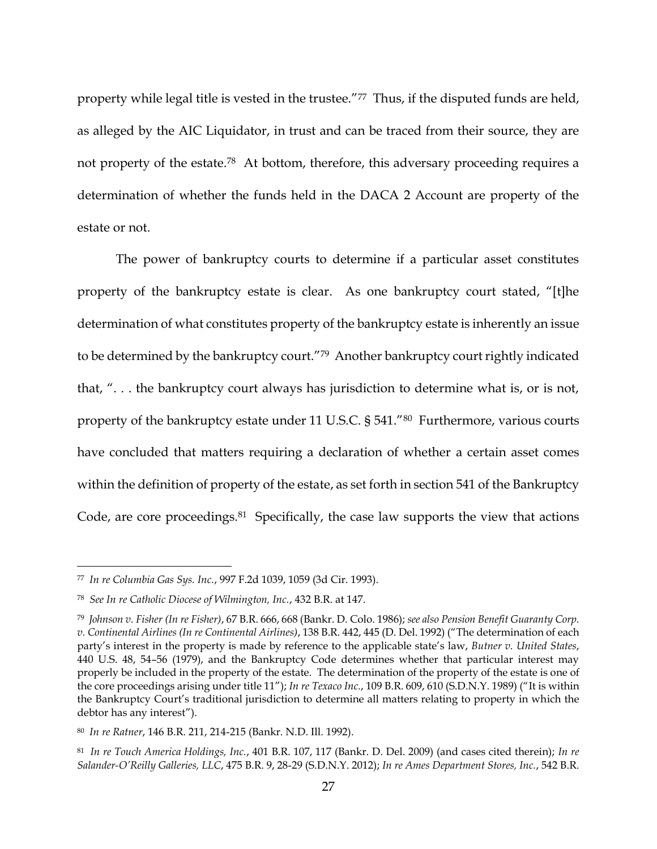property while legal title is vested in the trustee."77 Thus, if the disputed funds are held, as alleged by the AIC Liquidator, in trust and can be traced from their source, they are not property of the estate.<sup>78</sup> At bottom, therefore, this adversary proceeding requires a determination of whether the funds held in the DACA 2 Account are property of the estate or not.

The power of bankruptcy courts to determine if a particular asset constitutes property of the bankruptcy estate is clear. As one bankruptcy court stated, "[t]he determination of what constitutes property of the bankruptcy estate is inherently an issue to be determined by the bankruptcy court."79 Another bankruptcy court rightly indicated that, ". . . the bankruptcy court always has jurisdiction to determine what is, or is not, property of the bankruptcy estate under 11 U.S.C. § 541."80 Furthermore, various courts have concluded that matters requiring a declaration of whether a certain asset comes within the definition of property of the estate, as set forth in section 541 of the Bankruptcy Code, are core proceedings.<sup>81</sup> Specifically, the case law supports the view that actions

<sup>77</sup> *In re Columbia Gas Sys. Inc.*, 997 F.2d 1039, 1059 (3d Cir. 1993).

<sup>78</sup> *See In re Catholic Diocese of Wilmington, Inc.*, 432 B.R. at 147.

<sup>79</sup> *Johnson v. Fisher (In re Fisher)*, 67 B.R. 666, 668 (Bankr. D. Colo. 1986); *see also Pension Benefit Guaranty Corp. v. Continental Airlines (In re Continental Airlines)*, 138 B.R. 442, 445 (D. Del. 1992) ("The determination of each party's interest in the property is made by reference to the applicable state's law, *Butner v. United States*, 440 U.S. 48, 54–56 (1979), and the Bankruptcy Code determines whether that particular interest may properly be included in the property of the estate. The determination of the property of the estate is one of the core proceedings arising under title 11"); *In re Texaco Inc.*, 109 B.R. 609, 610 (S.D.N.Y. 1989) ("It is within the Bankruptcy Court's traditional jurisdiction to determine all matters relating to property in which the debtor has any interest").

<sup>80</sup> *In re Ratner*, 146 B.R. 211, 214-215 (Bankr. N.D. Ill. 1992).

<sup>81</sup> *In re Touch America Holdings, Inc.*, 401 B.R. 107, 117 (Bankr. D. Del. 2009) (and cases cited therein); *In re Salander-O'Reilly Galleries, LLC*, 475 B.R. 9, 28-29 (S.D.N.Y. 2012); *In re Ames Department Stores, Inc.*, 542 B.R.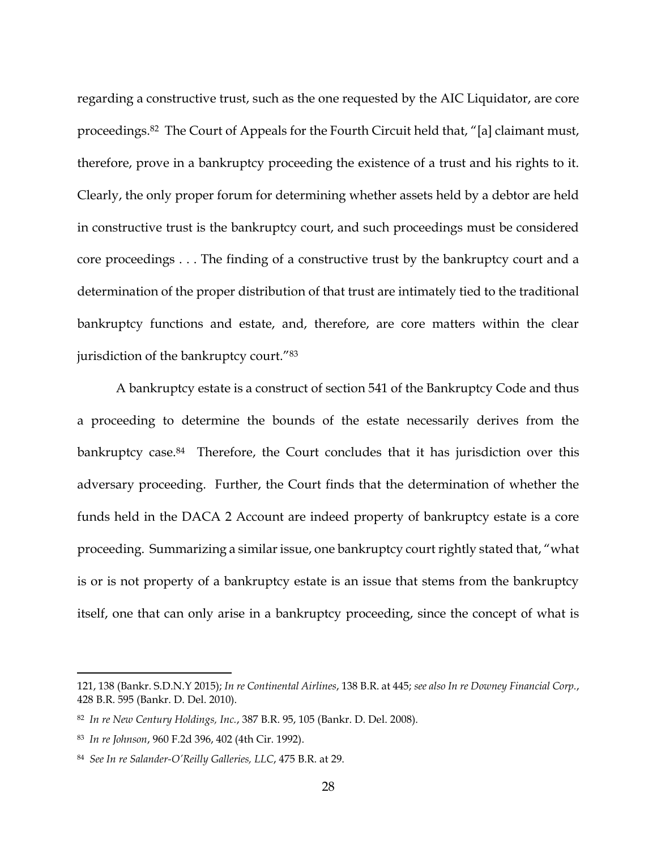regarding a constructive trust, such as the one requested by the AIC Liquidator, are core proceedings.<sup>82</sup> The Court of Appeals for the Fourth Circuit held that, "[a] claimant must, therefore, prove in a bankruptcy proceeding the existence of a trust and his rights to it. Clearly, the only proper forum for determining whether assets held by a debtor are held in constructive trust is the bankruptcy court, and such proceedings must be considered core proceedings . . . The finding of a constructive trust by the bankruptcy court and a determination of the proper distribution of that trust are intimately tied to the traditional bankruptcy functions and estate, and, therefore, are core matters within the clear jurisdiction of the bankruptcy court."83

A bankruptcy estate is a construct of section 541 of the Bankruptcy Code and thus a proceeding to determine the bounds of the estate necessarily derives from the bankruptcy case.<sup>84</sup> Therefore, the Court concludes that it has jurisdiction over this adversary proceeding. Further, the Court finds that the determination of whether the funds held in the DACA 2 Account are indeed property of bankruptcy estate is a core proceeding. Summarizing a similar issue, one bankruptcy court rightly stated that, "what is or is not property of a bankruptcy estate is an issue that stems from the bankruptcy itself, one that can only arise in a bankruptcy proceeding, since the concept of what is

<sup>121, 138 (</sup>Bankr. S.D.N.Y 2015); *In re Continental Airlines*, 138 B.R. at 445; *see also In re Downey Financial Corp.*, 428 B.R. 595 (Bankr. D. Del. 2010).

<sup>82</sup> *In re New Century Holdings, Inc.*, 387 B.R. 95, 105 (Bankr. D. Del. 2008).

<sup>83</sup> *In re Johnson*, 960 F.2d 396, 402 (4th Cir. 1992).

<sup>84</sup> *See In re Salander-O'Reilly Galleries, LLC*, 475 B.R. at 29.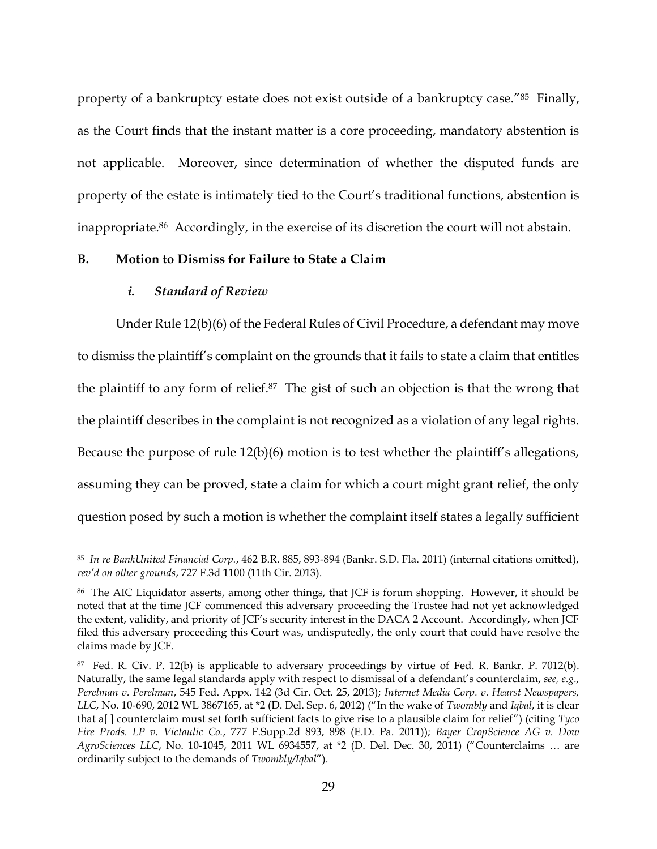property of a bankruptcy estate does not exist outside of a bankruptcy case."85 Finally, as the Court finds that the instant matter is a core proceeding, mandatory abstention is not applicable. Moreover, since determination of whether the disputed funds are property of the estate is intimately tied to the Court's traditional functions, abstention is inappropriate.86 Accordingly, in the exercise of its discretion the court will not abstain.

# **B. Motion to Dismiss for Failure to State a Claim**

### *i. Standard of Review*

 $\overline{a}$ 

Under Rule 12(b)(6) of the Federal Rules of Civil Procedure, a defendant may move to dismiss the plaintiff's complaint on the grounds that it fails to state a claim that entitles the plaintiff to any form of relief.87 The gist of such an objection is that the wrong that the plaintiff describes in the complaint is not recognized as a violation of any legal rights. Because the purpose of rule 12(b)(6) motion is to test whether the plaintiff's allegations, assuming they can be proved, state a claim for which a court might grant relief, the only question posed by such a motion is whether the complaint itself states a legally sufficient

<sup>85</sup> *In re BankUnited Financial Corp.*, 462 B.R. 885, 893-894 (Bankr. S.D. Fla. 2011) (internal citations omitted), *rev'd on other grounds*, 727 F.3d 1100 (11th Cir. 2013).

<sup>&</sup>lt;sup>86</sup> The AIC Liquidator asserts, among other things, that JCF is forum shopping. However, it should be noted that at the time JCF commenced this adversary proceeding the Trustee had not yet acknowledged the extent, validity, and priority of JCF's security interest in the DACA 2 Account. Accordingly, when JCF filed this adversary proceeding this Court was, undisputedly, the only court that could have resolve the claims made by JCF.

<sup>87</sup> Fed. R. Civ. P. 12(b) is applicable to adversary proceedings by virtue of Fed. R. Bankr. P. 7012(b). Naturally, the same legal standards apply with respect to dismissal of a defendant's counterclaim, *see, e.g., Perelman v. Perelman*, 545 Fed. Appx. 142 (3d Cir. Oct. 25, 2013); *Internet Media Corp. v. Hearst Newspapers, LLC*, No. 10-690, 2012 WL 3867165, at \*2 (D. Del. Sep. 6, 2012) ("In the wake of *Twombly* and *Iqbal*, it is clear that a[ ] counterclaim must set forth sufficient facts to give rise to a plausible claim for relief") (citing *Tyco Fire Prods. LP v. Victaulic Co.*, 777 F.Supp.2d 893, 898 (E.D. Pa. 2011)); *Bayer CropScience AG v. Dow AgroSciences LLC*, No. 10-1045, 2011 WL 6934557, at \*2 (D. Del. Dec. 30, 2011) ("Counterclaims … are ordinarily subject to the demands of *Twombly/Iqbal*").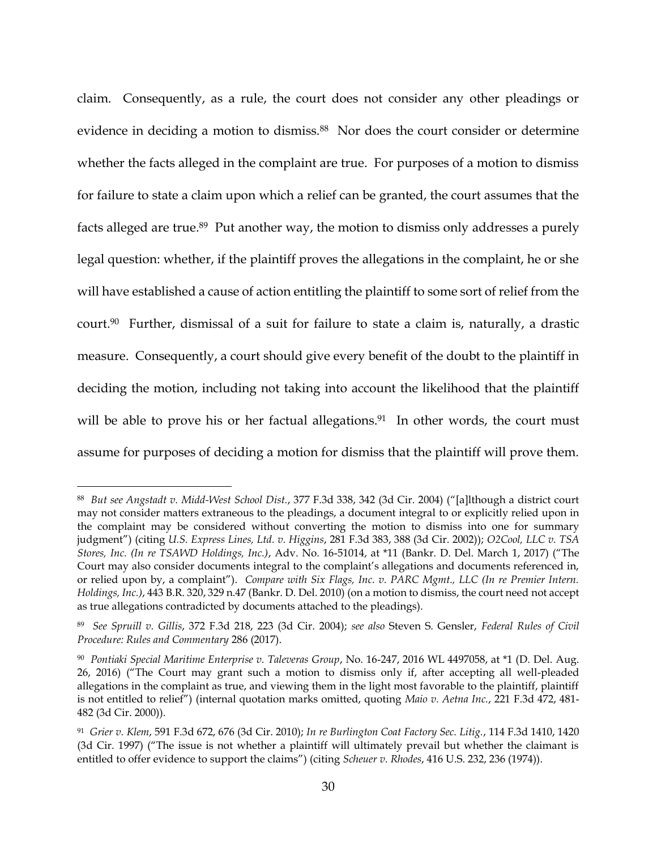claim. Consequently, as a rule, the court does not consider any other pleadings or evidence in deciding a motion to dismiss.<sup>88</sup> Nor does the court consider or determine whether the facts alleged in the complaint are true. For purposes of a motion to dismiss for failure to state a claim upon which a relief can be granted, the court assumes that the facts alleged are true.<sup>89</sup> Put another way, the motion to dismiss only addresses a purely legal question: whether, if the plaintiff proves the allegations in the complaint, he or she will have established a cause of action entitling the plaintiff to some sort of relief from the court.90 Further, dismissal of a suit for failure to state a claim is, naturally, a drastic measure. Consequently, a court should give every benefit of the doubt to the plaintiff in deciding the motion, including not taking into account the likelihood that the plaintiff will be able to prove his or her factual allegations.<sup>91</sup> In other words, the court must assume for purposes of deciding a motion for dismiss that the plaintiff will prove them.

<sup>88</sup> *But see Angstadt v. Midd-West School Dist.*, 377 F.3d 338, 342 (3d Cir. 2004) ("[a]lthough a district court may not consider matters extraneous to the pleadings, a document integral to or explicitly relied upon in the complaint may be considered without converting the motion to dismiss into one for summary judgment") (citing *U.S. Express Lines, Ltd. v. Higgins*, 281 F.3d 383, 388 (3d Cir. 2002)); *O2Cool, LLC v. TSA Stores, Inc. (In re TSAWD Holdings, Inc.)*, Adv. No. 16-51014, at \*11 (Bankr. D. Del. March 1, 2017) ("The Court may also consider documents integral to the complaint's allegations and documents referenced in, or relied upon by, a complaint"). *Compare with Six Flags, Inc. v. PARC Mgmt., LLC (In re Premier Intern. Holdings, Inc.)*, 443 B.R. 320, 329 n.47 (Bankr. D. Del. 2010) (on a motion to dismiss, the court need not accept as true allegations contradicted by documents attached to the pleadings).

<sup>89</sup> *See Spruill v. Gillis*, 372 F.3d 218, 223 (3d Cir. 2004); *see also* Steven S. Gensler, *Federal Rules of Civil Procedure: Rules and Commentary* 286 (2017).

<sup>90</sup> *Pontiaki Special Maritime Enterprise v. Taleveras Group*, No. 16-247, 2016 WL 4497058, at \*1 (D. Del. Aug. 26, 2016) ("The Court may grant such a motion to dismiss only if, after accepting all well-pleaded allegations in the complaint as true, and viewing them in the light most favorable to the plaintiff, plaintiff is not entitled to relief") (internal quotation marks omitted, quoting *Maio v. Aetna Inc.*, 221 F.3d 472, 481- 482 (3d Cir. 2000)).

<sup>91</sup> *Grier v. Klem*, 591 F.3d 672, 676 (3d Cir. 2010); *In re Burlington Coat Factory Sec. Litig.*, 114 F.3d 1410, 1420 (3d Cir. 1997) ("The issue is not whether a plaintiff will ultimately prevail but whether the claimant is entitled to offer evidence to support the claims") (citing *Scheuer v. Rhodes*, 416 U.S. 232, 236 (1974)).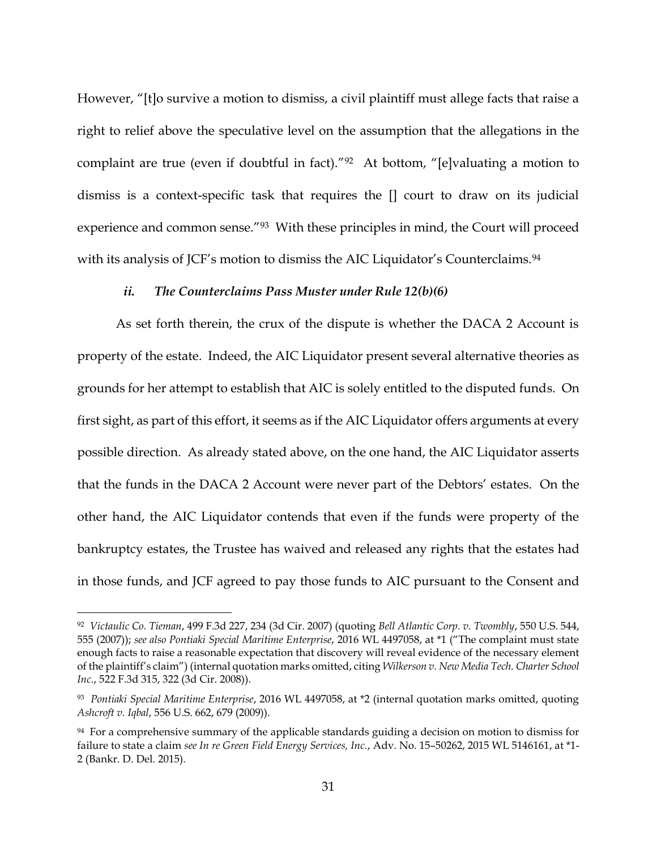However, "[t]o survive a motion to dismiss, a civil plaintiff must allege facts that raise a right to relief above the speculative level on the assumption that the allegations in the complaint are true (even if doubtful in fact)."<sup>92</sup> At bottom, "[e]valuating a motion to dismiss is a context-specific task that requires the [] court to draw on its judicial experience and common sense."<sup>93</sup> With these principles in mind, the Court will proceed with its analysis of JCF's motion to dismiss the AIC Liquidator's Counterclaims.<sup>94</sup>

### *ii. The Counterclaims Pass Muster under Rule 12(b)(6)*

As set forth therein, the crux of the dispute is whether the DACA 2 Account is property of the estate. Indeed, the AIC Liquidator present several alternative theories as grounds for her attempt to establish that AIC is solely entitled to the disputed funds. On first sight, as part of this effort, it seems as if the AIC Liquidator offers arguments at every possible direction. As already stated above, on the one hand, the AIC Liquidator asserts that the funds in the DACA 2 Account were never part of the Debtors' estates. On the other hand, the AIC Liquidator contends that even if the funds were property of the bankruptcy estates, the Trustee has waived and released any rights that the estates had in those funds, and JCF agreed to pay those funds to AIC pursuant to the Consent and

<sup>92</sup> *Victaulic Co. Tieman*, 499 F.3d 227, 234 (3d Cir. 2007) (quoting *Bell Atlantic Corp. v. Twombly*, 550 U.S. 544, 555 (2007)); *see also Pontiaki Special Maritime Enterprise*, 2016 WL 4497058, at \*1 ("The complaint must state enough facts to raise a reasonable expectation that discovery will reveal evidence of the necessary element of the plaintiff's claim") (internal quotation marks omitted, citing *Wilkerson v. New Media Tech. Charter School Inc.*, 522 F.3d 315, 322 (3d Cir. 2008)).

<sup>93</sup> *Pontiaki Special Maritime Enterprise*, 2016 WL 4497058, at \*2 (internal quotation marks omitted, quoting *Ashcroft v. Iqbal*, 556 U.S. 662, 679 (2009)).

<sup>94</sup> For a comprehensive summary of the applicable standards guiding a decision on motion to dismiss for failure to state a claim *see In re Green Field Energy Services, Inc.*, Adv. No. 15–50262, 2015 WL 5146161, at \*1- 2 (Bankr. D. Del. 2015).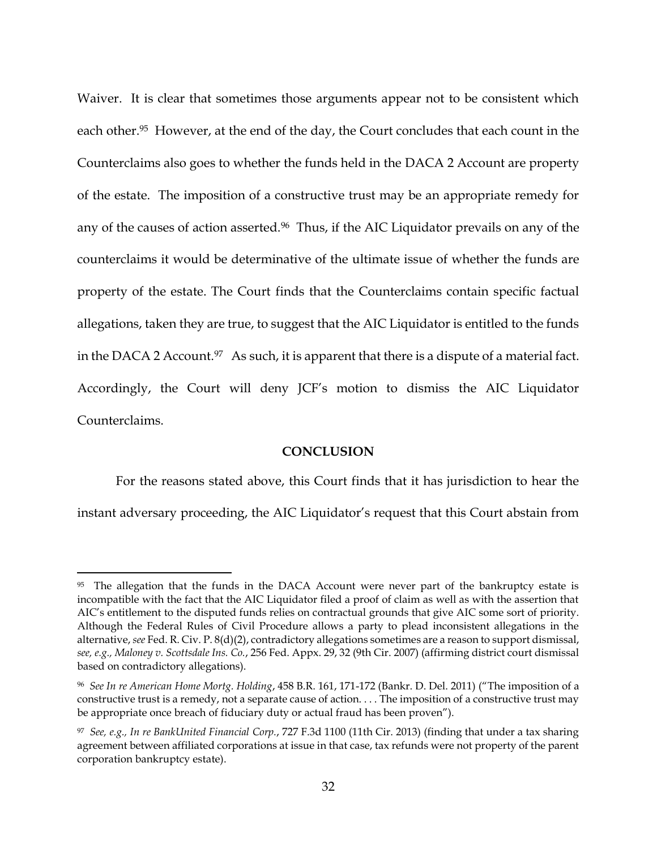Waiver. It is clear that sometimes those arguments appear not to be consistent which each other.<sup>95</sup> However, at the end of the day, the Court concludes that each count in the Counterclaims also goes to whether the funds held in the DACA 2 Account are property of the estate. The imposition of a constructive trust may be an appropriate remedy for any of the causes of action asserted.<sup>96</sup> Thus, if the AIC Liquidator prevails on any of the counterclaims it would be determinative of the ultimate issue of whether the funds are property of the estate. The Court finds that the Counterclaims contain specific factual allegations, taken they are true, to suggest that the AIC Liquidator is entitled to the funds in the DACA 2 Account.<sup>97</sup> As such, it is apparent that there is a dispute of a material fact. Accordingly, the Court will deny JCF's motion to dismiss the AIC Liquidator Counterclaims.

### **CONCLUSION**

For the reasons stated above, this Court finds that it has jurisdiction to hear the instant adversary proceeding, the AIC Liquidator's request that this Court abstain from

<sup>&</sup>lt;sup>95</sup> The allegation that the funds in the DACA Account were never part of the bankruptcy estate is incompatible with the fact that the AIC Liquidator filed a proof of claim as well as with the assertion that AIC's entitlement to the disputed funds relies on contractual grounds that give AIC some sort of priority. Although the Federal Rules of Civil Procedure allows a party to plead inconsistent allegations in the alternative, *see* Fed. R. Civ. P. 8(d)(2), contradictory allegations sometimes are a reason to support dismissal, *see, e.g., Maloney v. Scottsdale Ins. Co.*, 256 Fed. Appx. 29, 32 (9th Cir. 2007) (affirming district court dismissal based on contradictory allegations).

<sup>96</sup> *See In re American Home Mortg. Holding*, 458 B.R. 161, 171-172 (Bankr. D. Del. 2011) ("The imposition of a constructive trust is a remedy, not a separate cause of action. . . . The imposition of a constructive trust may be appropriate once breach of fiduciary duty or actual fraud has been proven").

<sup>97</sup> *See, e.g., In re BankUnited Financial Corp.*, 727 F.3d 1100 (11th Cir. 2013) (finding that under a tax sharing agreement between affiliated corporations at issue in that case, tax refunds were not property of the parent corporation bankruptcy estate).